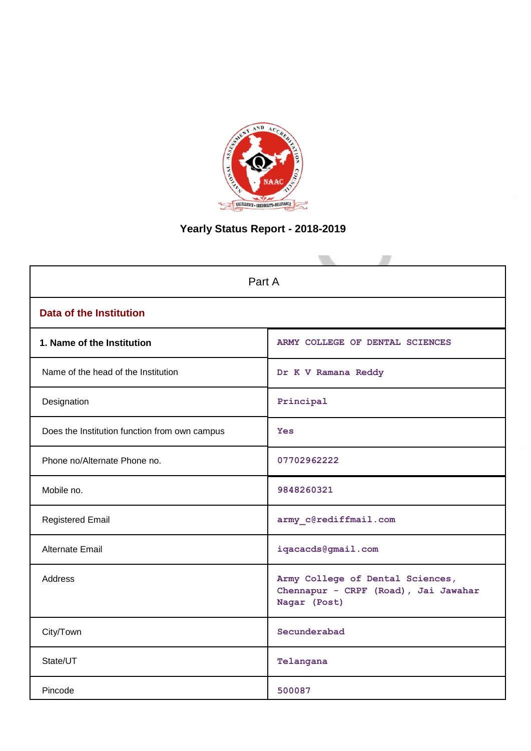

# **Yearly Status Report - 2018-2019**

| Part A                                        |                                                                                          |  |  |  |
|-----------------------------------------------|------------------------------------------------------------------------------------------|--|--|--|
| <b>Data of the Institution</b>                |                                                                                          |  |  |  |
| 1. Name of the Institution                    | ARMY COLLEGE OF DENTAL SCIENCES                                                          |  |  |  |
| Name of the head of the Institution           | Dr K V Ramana Reddy                                                                      |  |  |  |
| Designation                                   | Principal                                                                                |  |  |  |
| Does the Institution function from own campus | <b>Yes</b>                                                                               |  |  |  |
| Phone no/Alternate Phone no.                  | 07702962222                                                                              |  |  |  |
| Mobile no.                                    | 9848260321                                                                               |  |  |  |
| <b>Registered Email</b>                       | army_c@rediffmail.com                                                                    |  |  |  |
| <b>Alternate Email</b>                        | iqacacds@gmail.com                                                                       |  |  |  |
| <b>Address</b>                                | Army College of Dental Sciences,<br>Chennapur - CRPF (Road), Jai Jawahar<br>Nagar (Post) |  |  |  |
| City/Town                                     | Secunderabad                                                                             |  |  |  |
| State/UT                                      | Telangana                                                                                |  |  |  |
| Pincode                                       | 500087                                                                                   |  |  |  |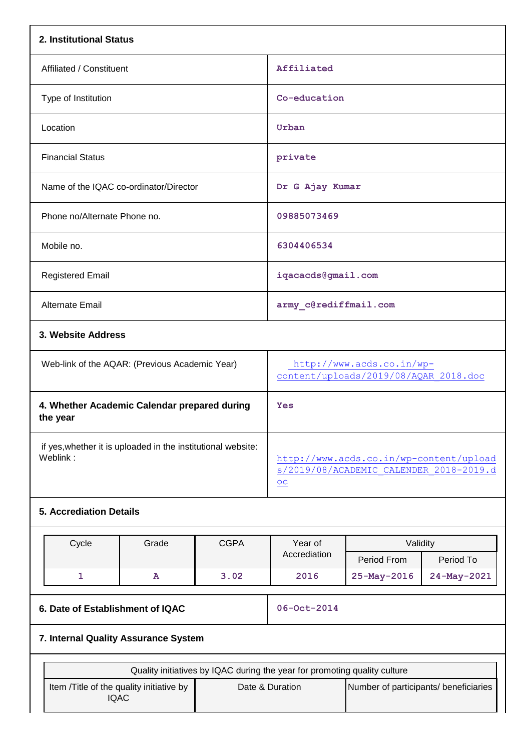| 2. Institutional Status                                                  |                                                                                                                                       |                                                                    |                                                                                    |             |
|--------------------------------------------------------------------------|---------------------------------------------------------------------------------------------------------------------------------------|--------------------------------------------------------------------|------------------------------------------------------------------------------------|-------------|
| Affiliated / Constituent                                                 | Affiliated                                                                                                                            |                                                                    |                                                                                    |             |
| Type of Institution                                                      |                                                                                                                                       | Co-education                                                       |                                                                                    |             |
| Location                                                                 |                                                                                                                                       | Urban                                                              |                                                                                    |             |
| <b>Financial Status</b>                                                  |                                                                                                                                       | private                                                            |                                                                                    |             |
| Name of the IQAC co-ordinator/Director                                   |                                                                                                                                       | Dr G Ajay Kumar                                                    |                                                                                    |             |
| Phone no/Alternate Phone no.                                             |                                                                                                                                       | 09885073469                                                        |                                                                                    |             |
| Mobile no.                                                               |                                                                                                                                       | 6304406534                                                         |                                                                                    |             |
| <b>Registered Email</b>                                                  |                                                                                                                                       | iqacacds@gmail.com                                                 |                                                                                    |             |
| <b>Alternate Email</b>                                                   |                                                                                                                                       | army_c@rediffmail.com                                              |                                                                                    |             |
| 3. Website Address                                                       |                                                                                                                                       |                                                                    |                                                                                    |             |
| Web-link of the AQAR: (Previous Academic Year)                           |                                                                                                                                       | http://www.acds.co.in/wp-<br>content/uploads/2019/08/AQAR 2018.doc |                                                                                    |             |
| 4. Whether Academic Calendar prepared during<br>the year                 |                                                                                                                                       | Yes                                                                |                                                                                    |             |
| if yes, whether it is uploaded in the institutional website:<br>Weblink: |                                                                                                                                       | $\underline{OC}$                                                   | http://www.acds.co.in/wp-content/upload<br>s/2019/08/ACADEMIC CALENDER 2018-2019.d |             |
| <b>5. Accrediation Details</b>                                           |                                                                                                                                       |                                                                    |                                                                                    |             |
| Cycle<br>Grade                                                           | <b>CGPA</b>                                                                                                                           | Year of                                                            | Validity                                                                           |             |
|                                                                          |                                                                                                                                       | Accrediation                                                       | Period From                                                                        | Period To   |
| $\mathbf{1}$<br>$\mathbf{A}$                                             | 3.02                                                                                                                                  | 2016                                                               | 25-May-2016                                                                        | 24-May-2021 |
| 6. Date of Establishment of IQAC                                         | 06-Oct-2014                                                                                                                           |                                                                    |                                                                                    |             |
| 7. Internal Quality Assurance System                                     |                                                                                                                                       |                                                                    |                                                                                    |             |
|                                                                          |                                                                                                                                       |                                                                    |                                                                                    |             |
| Item /Title of the quality initiative by<br><b>IQAC</b>                  | Quality initiatives by IQAC during the year for promoting quality culture<br>Date & Duration<br>Number of participants/ beneficiaries |                                                                    |                                                                                    |             |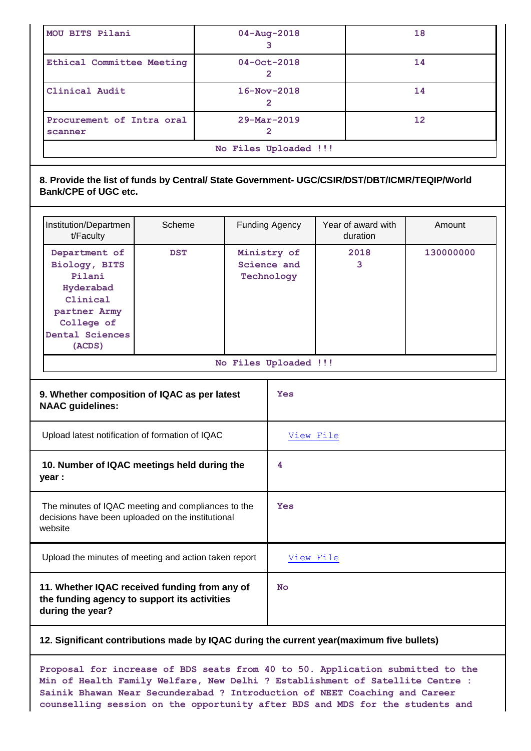| MOU BITS Pilani                      | $04 - Aug - 2018$        | 18                |  |
|--------------------------------------|--------------------------|-------------------|--|
| Ethical Committee Meeting            | $04 - Oct - 2018$        | 14                |  |
| Clinical Audit                       | $16 - Nov - 2018$        | 14                |  |
| Procurement of Intra oral<br>scanner | $29 - \text{Mar} - 2019$ | $12 \overline{ }$ |  |
| No Files Uploaded !!!                |                          |                   |  |

# **8. Provide the list of funds by Central/ State Government- UGC/CSIR/DST/DBT/ICMR/TEQIP/World Bank/CPE of UGC etc.**

| Institution/Departmen<br>t/Faculty                                                                                           | Scheme     | <b>Funding Agency</b> |                                          | Year of award with<br>duration | Amount    |
|------------------------------------------------------------------------------------------------------------------------------|------------|-----------------------|------------------------------------------|--------------------------------|-----------|
| Department of<br>Biology, BITS<br>Pilani<br>Hyderabad<br>Clinical<br>partner Army<br>College of<br>Dental Sciences<br>(ACDS) | <b>DST</b> |                       | Ministry of<br>Science and<br>Technology | 2018<br>3                      | 130000000 |
|                                                                                                                              |            |                       | No Files Uploaded !!!                    |                                |           |
| 9. Whether composition of IQAC as per latest<br><b>NAAC</b> guidelines:                                                      |            | Yes                   |                                          |                                |           |
| Upload latest notification of formation of IQAC                                                                              |            | View File             |                                          |                                |           |
| 10. Number of IQAC meetings held during the<br>year :                                                                        |            | 4                     |                                          |                                |           |
| The minutes of IQAC meeting and compliances to the<br>decisions have been uploaded on the institutional<br>website           |            | Yes                   |                                          |                                |           |
| Upload the minutes of meeting and action taken report                                                                        |            | View File             |                                          |                                |           |
| 11. Whether IQAC received funding from any of<br>the funding agency to support its activities<br>during the year?            |            | <b>No</b>             |                                          |                                |           |

# **12. Significant contributions made by IQAC during the current year(maximum five bullets)**

**Proposal for increase of BDS seats from 40 to 50. Application submitted to the Min of Health Family Welfare, New Delhi ? Establishment of Satellite Centre : Sainik Bhawan Near Secunderabad ? Introduction of NEET Coaching and Career counselling session on the opportunity after BDS and MDS for the students and**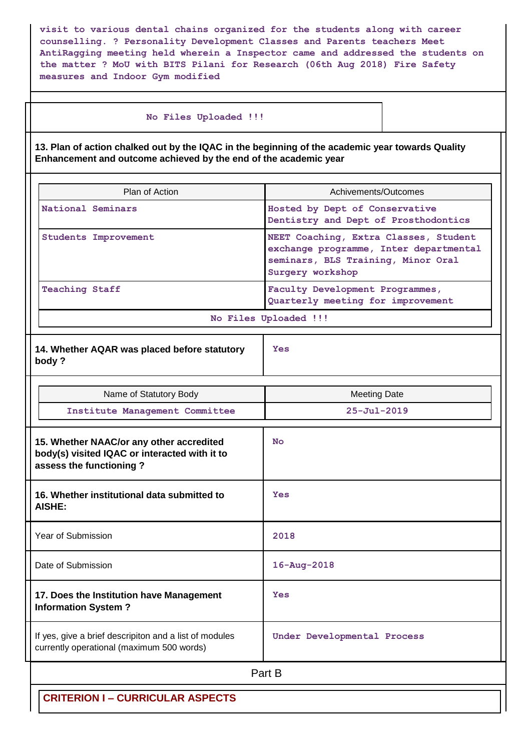**visit to various dental chains organized for the students along with career counselling. ? Personality Development Classes and Parents teachers Meet AntiRagging meeting held wherein a Inspector came and addressed the students on the matter ? MoU with BITS Pilani for Research (06th Aug 2018) Fire Safety measures and Indoor Gym modified**

#### **No Files Uploaded !!!**

**13. Plan of action chalked out by the IQAC in the beginning of the academic year towards Quality Enhancement and outcome achieved by the end of the academic year**

| Plan of Action                                                                                                       | Achivements/Outcomes                                                                                                                      |
|----------------------------------------------------------------------------------------------------------------------|-------------------------------------------------------------------------------------------------------------------------------------------|
| National Seminars                                                                                                    | Hosted by Dept of Conservative<br>Dentistry and Dept of Prosthodontics                                                                    |
| <b>Students Improvement</b>                                                                                          | NEET Coaching, Extra Classes, Student<br>exchange programme, Inter departmental<br>seminars, BLS Training, Minor Oral<br>Surgery workshop |
| <b>Teaching Staff</b>                                                                                                | Faculty Development Programmes,<br>Quarterly meeting for improvement                                                                      |
|                                                                                                                      | No Files Uploaded !!!                                                                                                                     |
| 14. Whether AQAR was placed before statutory<br>body?                                                                | Yes                                                                                                                                       |
| Name of Statutory Body                                                                                               | <b>Meeting Date</b>                                                                                                                       |
| Institute Management Committee                                                                                       | $25 - Ju1 - 2019$                                                                                                                         |
| 15. Whether NAAC/or any other accredited<br>body(s) visited IQAC or interacted with it to<br>assess the functioning? | <b>No</b>                                                                                                                                 |
| 16. Whether institutional data submitted to<br><b>AISHE:</b>                                                         | Yes                                                                                                                                       |
| Year of Submission                                                                                                   | 2018                                                                                                                                      |
| Date of Submission                                                                                                   | $16 - Aug - 2018$                                                                                                                         |
| 17. Does the Institution have Management<br><b>Information System?</b>                                               | Yes                                                                                                                                       |
| If yes, give a brief descripiton and a list of modules<br>currently operational (maximum 500 words)                  | Under Developmental Process                                                                                                               |
|                                                                                                                      | Part B                                                                                                                                    |
| <b>CRITERION I - CURRICULAR ASPECTS</b>                                                                              |                                                                                                                                           |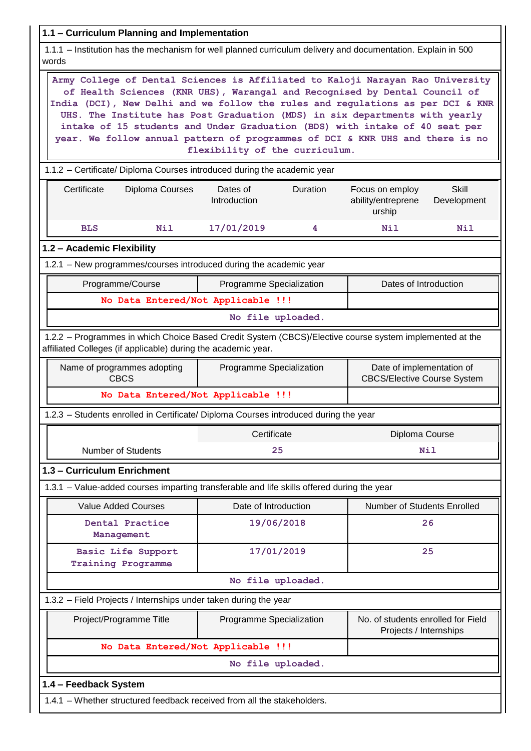| 1.1 - Curriculum Planning and Implementation                                                                                                                                                                                                                                                                                                                                                                                                                                                   |                                                                                             |                 |                                                              |                             |  |  |
|------------------------------------------------------------------------------------------------------------------------------------------------------------------------------------------------------------------------------------------------------------------------------------------------------------------------------------------------------------------------------------------------------------------------------------------------------------------------------------------------|---------------------------------------------------------------------------------------------|-----------------|--------------------------------------------------------------|-----------------------------|--|--|
| 1.1.1 - Institution has the mechanism for well planned curriculum delivery and documentation. Explain in 500<br>words                                                                                                                                                                                                                                                                                                                                                                          |                                                                                             |                 |                                                              |                             |  |  |
| Army College of Dental Sciences is Affiliated to Kaloji Narayan Rao University<br>of Health Sciences (KNR UHS), Warangal and Recognised by Dental Council of<br>India (DCI), New Delhi and we follow the rules and regulations as per DCI & KNR<br>UHS. The Institute has Post Graduation (MDS) in six departments with yearly<br>intake of 15 students and Under Graduation (BDS) with intake of 40 seat per<br>year. We follow annual pattern of programmes of DCI & KNR UHS and there is no | flexibility of the curriculum.                                                              |                 |                                                              |                             |  |  |
| 1.1.2 - Certificate/ Diploma Courses introduced during the academic year                                                                                                                                                                                                                                                                                                                                                                                                                       |                                                                                             |                 |                                                              |                             |  |  |
| Certificate<br>Diploma Courses                                                                                                                                                                                                                                                                                                                                                                                                                                                                 | Dates of<br>Introduction                                                                    | <b>Duration</b> | Focus on employ<br>ability/entreprene<br>urship              | <b>Skill</b><br>Development |  |  |
| Nil<br><b>BLS</b>                                                                                                                                                                                                                                                                                                                                                                                                                                                                              | 17/01/2019                                                                                  | 4               | <b>Nil</b>                                                   | Nil                         |  |  |
| 1.2 - Academic Flexibility                                                                                                                                                                                                                                                                                                                                                                                                                                                                     |                                                                                             |                 |                                                              |                             |  |  |
| 1.2.1 - New programmes/courses introduced during the academic year                                                                                                                                                                                                                                                                                                                                                                                                                             |                                                                                             |                 |                                                              |                             |  |  |
| Programme/Course                                                                                                                                                                                                                                                                                                                                                                                                                                                                               | Programme Specialization                                                                    |                 | Dates of Introduction                                        |                             |  |  |
| No Data Entered/Not Applicable !!!                                                                                                                                                                                                                                                                                                                                                                                                                                                             |                                                                                             |                 |                                                              |                             |  |  |
|                                                                                                                                                                                                                                                                                                                                                                                                                                                                                                | No file uploaded.                                                                           |                 |                                                              |                             |  |  |
| 1.2.2 - Programmes in which Choice Based Credit System (CBCS)/Elective course system implemented at the<br>affiliated Colleges (if applicable) during the academic year.                                                                                                                                                                                                                                                                                                                       |                                                                                             |                 |                                                              |                             |  |  |
| Name of programmes adopting<br><b>CBCS</b>                                                                                                                                                                                                                                                                                                                                                                                                                                                     | Date of implementation of<br>Programme Specialization<br><b>CBCS/Elective Course System</b> |                 |                                                              |                             |  |  |
| No Data Entered/Not Applicable !!!                                                                                                                                                                                                                                                                                                                                                                                                                                                             |                                                                                             |                 |                                                              |                             |  |  |
| 1.2.3 - Students enrolled in Certificate/ Diploma Courses introduced during the year                                                                                                                                                                                                                                                                                                                                                                                                           |                                                                                             |                 |                                                              |                             |  |  |
|                                                                                                                                                                                                                                                                                                                                                                                                                                                                                                | Certificate                                                                                 |                 | Diploma Course                                               |                             |  |  |
| <b>Number of Students</b>                                                                                                                                                                                                                                                                                                                                                                                                                                                                      | 25                                                                                          |                 |                                                              | <b>Nil</b>                  |  |  |
| 1.3 - Curriculum Enrichment                                                                                                                                                                                                                                                                                                                                                                                                                                                                    |                                                                                             |                 |                                                              |                             |  |  |
| 1.3.1 - Value-added courses imparting transferable and life skills offered during the year                                                                                                                                                                                                                                                                                                                                                                                                     |                                                                                             |                 |                                                              |                             |  |  |
| <b>Value Added Courses</b>                                                                                                                                                                                                                                                                                                                                                                                                                                                                     | Date of Introduction                                                                        |                 | Number of Students Enrolled                                  |                             |  |  |
| Dental Practice<br>Management                                                                                                                                                                                                                                                                                                                                                                                                                                                                  | 19/06/2018                                                                                  |                 |                                                              | 26                          |  |  |
| Basic Life Support<br><b>Training Programme</b>                                                                                                                                                                                                                                                                                                                                                                                                                                                | 17/01/2019                                                                                  |                 |                                                              | 25                          |  |  |
|                                                                                                                                                                                                                                                                                                                                                                                                                                                                                                | No file uploaded.                                                                           |                 |                                                              |                             |  |  |
| 1.3.2 - Field Projects / Internships under taken during the year                                                                                                                                                                                                                                                                                                                                                                                                                               |                                                                                             |                 |                                                              |                             |  |  |
| Project/Programme Title                                                                                                                                                                                                                                                                                                                                                                                                                                                                        | Programme Specialization                                                                    |                 | No. of students enrolled for Field<br>Projects / Internships |                             |  |  |
| No Data Entered/Not Applicable !!!                                                                                                                                                                                                                                                                                                                                                                                                                                                             |                                                                                             |                 |                                                              |                             |  |  |
|                                                                                                                                                                                                                                                                                                                                                                                                                                                                                                | No file uploaded.                                                                           |                 |                                                              |                             |  |  |
| 1.4 - Feedback System                                                                                                                                                                                                                                                                                                                                                                                                                                                                          |                                                                                             |                 |                                                              |                             |  |  |
| 1.4.1 - Whether structured feedback received from all the stakeholders.                                                                                                                                                                                                                                                                                                                                                                                                                        |                                                                                             |                 |                                                              |                             |  |  |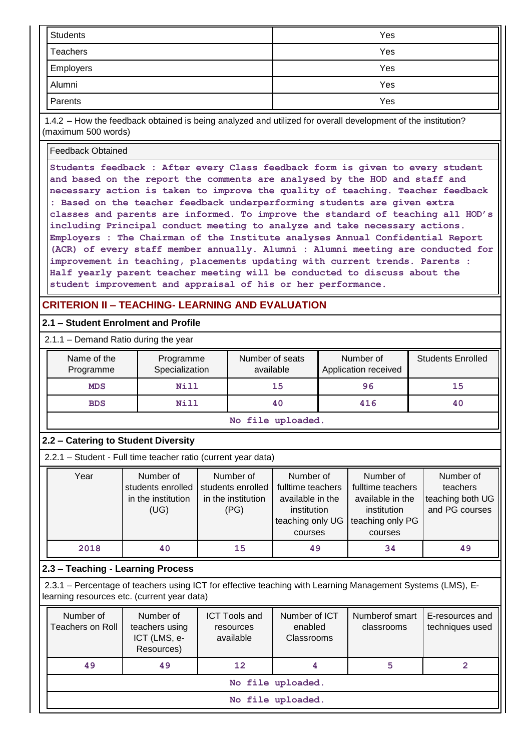| Students        | Yes |
|-----------------|-----|
| <b>Teachers</b> | Yes |
| Employers       | Yes |
| Alumni          | Yes |
| Parents         | Yes |

1.4.2 – How the feedback obtained is being analyzed and utilized for overall development of the institution? (maximum 500 words)

Feedback Obtained

**Students feedback : After every Class feedback form is given to every student and based on the report the comments are analysed by the HOD and staff and necessary action is taken to improve the quality of teaching. Teacher feedback : Based on the teacher feedback underperforming students are given extra classes and parents are informed. To improve the standard of teaching all HOD's including Principal conduct meeting to analyze and take necessary actions. Employers : The Chairman of the Institute analyses Annual Confidential Report (ACR) of every staff member annually. Alumni : Alumni meeting are conducted for improvement in teaching, placements updating with current trends. Parents : Half yearly parent teacher meeting will be conducted to discuss about the student improvement and appraisal of his or her performance.**

# **CRITERION II – TEACHING- LEARNING AND EVALUATION**

#### **2.1 – Student Enrolment and Profile**

| 2.1.1 - Demand Ratio during the year |                             |                              |                                   |                          |  |  |
|--------------------------------------|-----------------------------|------------------------------|-----------------------------------|--------------------------|--|--|
| Name of the<br>Programme             | Programme<br>Specialization | Number of seats<br>available | Number of<br>Application received | <b>Students Enrolled</b> |  |  |
| <b>MDS</b>                           | <b>Nill</b>                 | 15                           | 96                                | 15                       |  |  |
| <b>BDS</b>                           | <b>Nill</b>                 | 40                           | 416                               | 40                       |  |  |
|                                      |                             |                              |                                   |                          |  |  |

**No file uploaded.**

#### **2.2 – Catering to Student Diversity**

2.2.1 – Student - Full time teacher ratio (current year data)

| Year | Number of          | Number of          | Number of         | Number of         | Number of        |
|------|--------------------|--------------------|-------------------|-------------------|------------------|
|      | students enrolled  | students enrolled  | fulltime teachers | fulltime teachers | teachers         |
|      | in the institution | in the institution | available in the  | available in the  | teaching both UG |
|      | (UG)               | (PG)               | institution       | institution       | and PG courses   |
|      |                    |                    | teaching only UG  | teaching only PG  |                  |
|      |                    |                    | courses           | courses           |                  |
| 2018 | 40                 | 15                 | 49                | 34                | 49               |

#### **2.3 – Teaching - Learning Process**

2.3.1 – Percentage of teachers using ICT for effective teaching with Learning Management Systems (LMS), Elearning resources etc. (current year data)

| Number of<br>Teachers on Roll | Number of<br>teachers using<br>ICT (LMS, e-<br>Resources) | <b>ICT Tools and</b><br>resources<br>available | Number of ICT<br>enabled<br>Classrooms | Numberof smart<br>classrooms | E-resources and<br>techniques used |  |  |
|-------------------------------|-----------------------------------------------------------|------------------------------------------------|----------------------------------------|------------------------------|------------------------------------|--|--|
| 49                            | 49                                                        | 12                                             | 4                                      | 5                            |                                    |  |  |
|                               | No file uploaded.                                         |                                                |                                        |                              |                                    |  |  |
|                               | No file uploaded.                                         |                                                |                                        |                              |                                    |  |  |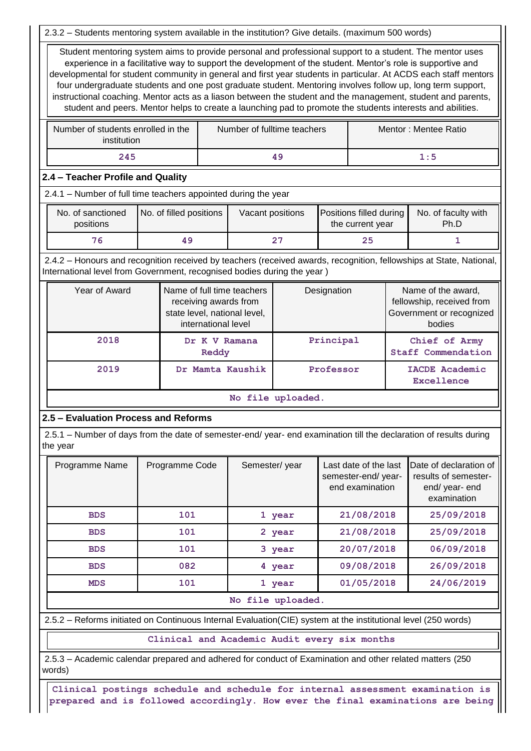2.3.2 – Students mentoring system available in the institution? Give details. (maximum 500 words)

Student mentoring system aims to provide personal and professional support to a student. The mentor uses experience in a facilitative way to support the development of the student. Mentor's role is supportive and developmental for student community in general and first year students in particular. At ACDS each staff mentors four undergraduate students and one post graduate student. Mentoring involves follow up, long term support, instructional coaching. Mentor acts as a liason between the student and the management, student and parents, student and peers. Mentor helps to create a launching pad to promote the students interests and abilities.

| Number of students enrolled in the<br>institution | Number of fulltime teachers | Mentor : Mentee Ratio |
|---------------------------------------------------|-----------------------------|-----------------------|
| 245                                               | 49                          | $1\!:\!5$             |

#### **2.4 – Teacher Profile and Quality**

2.4.1 – Number of full time teachers appointed during the year

| No. of sanctioned<br>positions | No. of filled positions | Vacant positions | Positions filled during<br>the current year | No. of faculty with<br>Ph.D |
|--------------------------------|-------------------------|------------------|---------------------------------------------|-----------------------------|
| 76.                            |                         | 27               | 25                                          |                             |

2.4.2 – Honours and recognition received by teachers (received awards, recognition, fellowships at State, National, International level from Government, recognised bodies during the year )

| Year of Award | Name of full time teachers<br>receiving awards from<br>state level, national level,<br>international level | Designation       | Name of the award,<br>fellowship, received from<br>Government or recognized<br>bodies |
|---------------|------------------------------------------------------------------------------------------------------------|-------------------|---------------------------------------------------------------------------------------|
| 2018          | Dr K V Ramana<br>Reddy                                                                                     | Principal         | Chief of Army<br><b>Staff Commendation</b>                                            |
| 2019          | Dr Mamta Kaushik                                                                                           | Professor         | <b>IACDE Academic</b><br>Excellence                                                   |
|               |                                                                                                            | No file uploaded. |                                                                                       |

#### **2.5 – Evaluation Process and Reforms**

2.5.1 – Number of days from the date of semester-end/ year- end examination till the declaration of results during the year

| Programme Name | Programme Code | Semester/year        | Last date of the last<br>semester-end/year-<br>end examination | Date of declaration of<br>results of semester-<br>end/ year- end<br>examination |
|----------------|----------------|----------------------|----------------------------------------------------------------|---------------------------------------------------------------------------------|
| <b>BDS</b>     | 101            | 1 year               | 21/08/2018                                                     | 25/09/2018                                                                      |
| <b>BDS</b>     | 101            | 2 year               | 21/08/2018                                                     | 25/09/2018                                                                      |
| <b>BDS</b>     | 101            | 3 year               | 20/07/2018                                                     | 06/09/2018                                                                      |
| <b>BDS</b>     | 082            | 4 year               | 09/08/2018                                                     | 26/09/2018                                                                      |
| <b>MDS</b>     | 101            | 1 year               | 01/05/2018                                                     | 24/06/2019                                                                      |
|                |                | $No$ file $m$ loaded |                                                                |                                                                                 |

#### **No file uploaded.**

2.5.2 – Reforms initiated on Continuous Internal Evaluation(CIE) system at the institutional level (250 words)

**Clinical and Academic Audit every six months**

2.5.3 – Academic calendar prepared and adhered for conduct of Examination and other related matters (250 words)

**Clinical postings schedule and schedule for internal assessment examination is prepared and is followed accordingly. How ever the final examinations are being**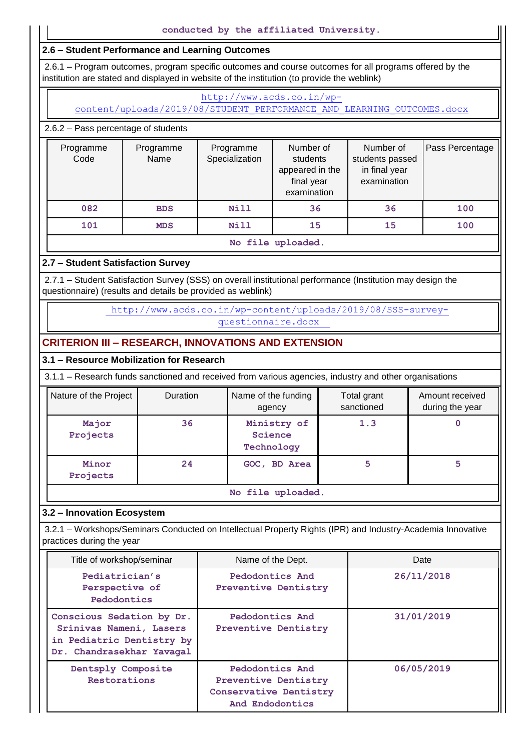# **2.6 – Student Performance and Learning Outcomes**

2.6.1 – Program outcomes, program specific outcomes and course outcomes for all programs offered by the institution are stated and displayed in website of the institution (to provide the weblink)

# [http://www.acds.co.in/wp-](http://www.acds.co.in/wp-content/uploads/2019/08/STUDENT_PERFORMANCE_AND_LEARNING_OUTCOMES.docx)

[content/uploads/2019/08/STUDENT\\_PERFORMANCE\\_AND\\_LEARNING\\_OUTCOMES.docx](http://www.acds.co.in/wp-content/uploads/2019/08/STUDENT_PERFORMANCE_AND_LEARNING_OUTCOMES.docx)

# 2.6.2 – Pass percentage of students

| Programme<br>Code | Programme<br>Name | Programme<br>Specialization | Number of<br>students<br>appeared in the<br>final year<br>examination | Number of<br>students passed<br>in final year<br>examination | Pass Percentage |
|-------------------|-------------------|-----------------------------|-----------------------------------------------------------------------|--------------------------------------------------------------|-----------------|
| 082               | <b>BDS</b>        | Nill                        | 36                                                                    | 36                                                           | 100             |
| 101               | <b>MDS</b>        | <b>Nill</b>                 | 15                                                                    | 15                                                           | 100             |

#### **No file uploaded.**

# **2.7 – Student Satisfaction Survey**

2.7.1 – Student Satisfaction Survey (SSS) on overall institutional performance (Institution may design the questionnaire) (results and details be provided as weblink)

> [http://www.acds.co.in/wp-content/uploads/2019/08/SSS-survey](http://www.acds.co.in/wp-content/uploads/2019/08/SSS-survey-questionnaire.docx)[questionnaire.docx](http://www.acds.co.in/wp-content/uploads/2019/08/SSS-survey-questionnaire.docx)

# **CRITERION III – RESEARCH, INNOVATIONS AND EXTENSION**

# **3.1 – Resource Mobilization for Research**

3.1.1 – Research funds sanctioned and received from various agencies, industry and other organisations

| Nature of the Project | Duration          | Name of the funding<br>agency        | Total grant<br>sanctioned | Amount received<br>during the year |  |  |  |  |
|-----------------------|-------------------|--------------------------------------|---------------------------|------------------------------------|--|--|--|--|
| Major<br>Projects     | 36                | Ministry of<br>Science<br>Technology | 1.3                       | U                                  |  |  |  |  |
| Minor<br>Projects     | 24                | GOC, BD Area                         | 5                         | 5                                  |  |  |  |  |
|                       | No file uploaded. |                                      |                           |                                    |  |  |  |  |

# **3.2 – Innovation Ecosystem**

3.2.1 – Workshops/Seminars Conducted on Intellectual Property Rights (IPR) and Industry-Academia Innovative practices during the year

| Title of workshop/seminar                                                                                      | Name of the Dept.                                                                    | Date       |
|----------------------------------------------------------------------------------------------------------------|--------------------------------------------------------------------------------------|------------|
| Pediatrician's<br>Perspective of<br>Pedodontics                                                                | Pedodontics And<br><b>Preventive Dentistry</b>                                       | 26/11/2018 |
| Conscious Sedation by Dr.<br>Srinivas Nameni, Lasers<br>in Pediatric Dentistry by<br>Dr. Chandrasekhar Yavagal | Pedodontics And<br><b>Preventive Dentistry</b>                                       | 31/01/2019 |
| Dentsply Composite<br>Restorations                                                                             | Pedodontics And<br>Preventive Dentistry<br>Conservative Dentistry<br>And Endodontics | 06/05/2019 |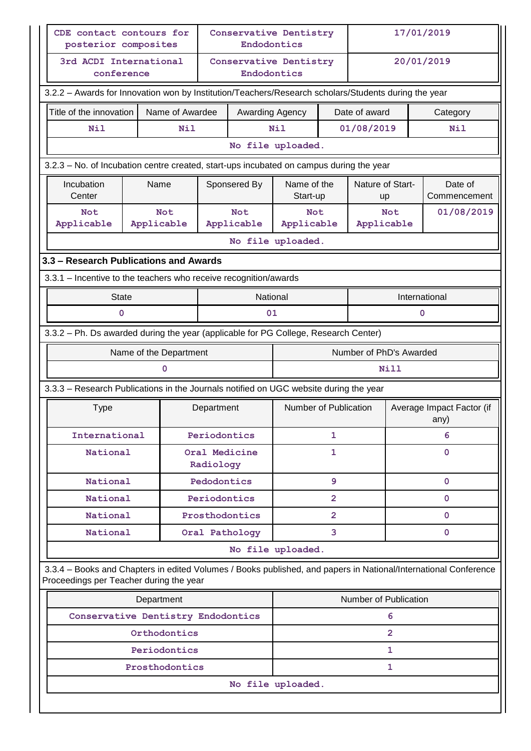| CDE contact contours for<br><b>Conservative Dentistry</b><br>posterior composites                    |  |                          |              | Endodontics              |                          |                |                       |                                                                                                                                                                                            | 17/01/2019 |  |
|------------------------------------------------------------------------------------------------------|--|--------------------------|--------------|--------------------------|--------------------------|----------------|-----------------------|--------------------------------------------------------------------------------------------------------------------------------------------------------------------------------------------|------------|--|
| 3rd ACDI International<br>conference                                                                 |  |                          |              | Endodontics              | Conservative Dentistry   |                |                       |                                                                                                                                                                                            | 20/01/2019 |  |
| 3.2.2 - Awards for Innovation won by Institution/Teachers/Research scholars/Students during the year |  |                          |              |                          |                          |                |                       |                                                                                                                                                                                            |            |  |
| Title of the innovation                                                                              |  | Name of Awardee          |              | Awarding Agency          |                          |                | Date of award         |                                                                                                                                                                                            | Category   |  |
| Nil                                                                                                  |  | Nil                      |              |                          | Nil                      |                | 01/08/2019            | <b>Nil</b><br>Nature of Start-<br>Date of<br>Commencement<br><b>up</b><br>01/08/2019<br><b>Not</b><br>Applicable<br>International<br>$\mathbf 0$<br>Number of PhD's Awarded<br><b>Nill</b> |            |  |
| No file uploaded.                                                                                    |  |                          |              |                          |                          |                |                       |                                                                                                                                                                                            |            |  |
| 3.2.3 - No. of Incubation centre created, start-ups incubated on campus during the year              |  |                          |              |                          |                          |                |                       |                                                                                                                                                                                            |            |  |
| Incubation<br>Center                                                                                 |  | Name                     |              | Sponsered By             | Name of the<br>Start-up  |                |                       |                                                                                                                                                                                            |            |  |
| Not<br>Applicable                                                                                    |  | <b>Not</b><br>Applicable |              | <b>Not</b><br>Applicable | <b>Not</b><br>Applicable |                |                       |                                                                                                                                                                                            |            |  |
|                                                                                                      |  |                          |              |                          | No file uploaded.        |                |                       |                                                                                                                                                                                            |            |  |
| 3.3 - Research Publications and Awards                                                               |  |                          |              |                          |                          |                |                       |                                                                                                                                                                                            |            |  |
| 3.3.1 – Incentive to the teachers who receive recognition/awards                                     |  |                          |              |                          |                          |                |                       |                                                                                                                                                                                            |            |  |
| <b>State</b>                                                                                         |  |                          |              | National                 |                          |                |                       |                                                                                                                                                                                            |            |  |
| 0                                                                                                    |  |                          |              | 01                       |                          |                |                       |                                                                                                                                                                                            |            |  |
| 3.3.2 - Ph. Ds awarded during the year (applicable for PG College, Research Center)                  |  |                          |              |                          |                          |                |                       |                                                                                                                                                                                            |            |  |
|                                                                                                      |  | Name of the Department   |              |                          |                          |                |                       |                                                                                                                                                                                            |            |  |
|                                                                                                      |  | 0                        |              |                          |                          |                |                       |                                                                                                                                                                                            |            |  |
| 3.3.3 - Research Publications in the Journals notified on UGC website during the year                |  |                          |              |                          |                          |                |                       |                                                                                                                                                                                            |            |  |
| <b>Type</b>                                                                                          |  |                          | Department   |                          | Number of Publication    |                |                       |                                                                                                                                                                                            | any)       |  |
| International                                                                                        |  |                          | Periodontics |                          |                          | $\mathbf{1}$   |                       |                                                                                                                                                                                            | 6          |  |
| National                                                                                             |  |                          | Radiology    | Oral Medicine            |                          | 1              |                       | Average Impact Factor (if<br>0<br>0<br>$\mathbf 0$<br>0<br>0<br>3.3.4 - Books and Chapters in edited Volumes / Books published, and papers in National/International Conference            |            |  |
| National                                                                                             |  |                          | Pedodontics  |                          |                          | 9              |                       |                                                                                                                                                                                            |            |  |
| National                                                                                             |  |                          | Periodontics |                          |                          | $\overline{2}$ |                       |                                                                                                                                                                                            |            |  |
| National                                                                                             |  |                          |              | Prosthodontics           |                          | 2              |                       |                                                                                                                                                                                            |            |  |
| National                                                                                             |  |                          |              | Oral Pathology           |                          | 3              |                       |                                                                                                                                                                                            |            |  |
|                                                                                                      |  |                          |              |                          | No file uploaded.        |                |                       |                                                                                                                                                                                            |            |  |
| Proceedings per Teacher during the year                                                              |  |                          |              |                          |                          |                |                       |                                                                                                                                                                                            |            |  |
|                                                                                                      |  | Department               |              |                          |                          |                | Number of Publication |                                                                                                                                                                                            |            |  |
| Conservative Dentistry Endodontics                                                                   |  |                          |              |                          |                          |                | 6                     |                                                                                                                                                                                            |            |  |
|                                                                                                      |  | Orthodontics             |              |                          |                          |                | $\overline{2}$        |                                                                                                                                                                                            |            |  |
|                                                                                                      |  | Periodontics             |              |                          |                          |                | 1                     |                                                                                                                                                                                            |            |  |
|                                                                                                      |  | Prosthodontics           |              |                          |                          |                | 1                     |                                                                                                                                                                                            |            |  |
|                                                                                                      |  |                          |              |                          | No file uploaded.        |                |                       |                                                                                                                                                                                            |            |  |
|                                                                                                      |  |                          |              |                          |                          |                |                       |                                                                                                                                                                                            |            |  |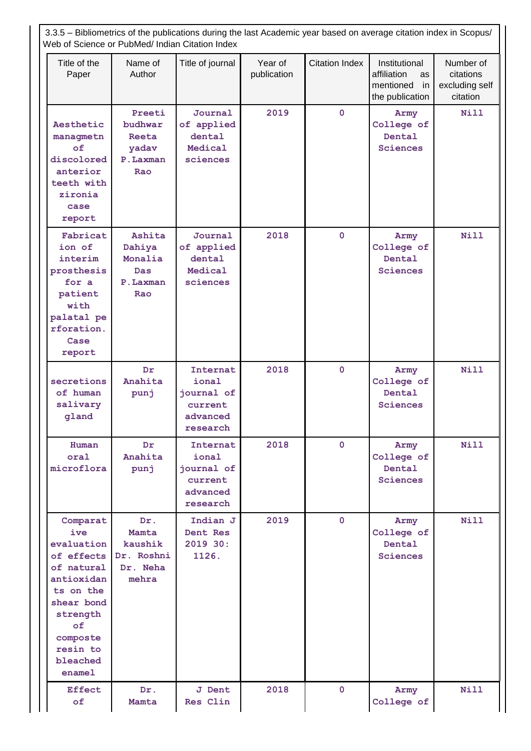|                                                                                                                                                                    | 3.3.5 - Bibliometrics of the publications during the last Academic year based on average citation index in Scopus/<br>Web of Science or PubMed/ Indian Citation Index |                                                                    |                        |                       |                                                                          |                                                      |
|--------------------------------------------------------------------------------------------------------------------------------------------------------------------|-----------------------------------------------------------------------------------------------------------------------------------------------------------------------|--------------------------------------------------------------------|------------------------|-----------------------|--------------------------------------------------------------------------|------------------------------------------------------|
| Title of the<br>Paper                                                                                                                                              | Name of<br>Author                                                                                                                                                     | Title of journal                                                   | Year of<br>publication | <b>Citation Index</b> | Institutional<br>affiliation<br>as<br>mentioned<br>in<br>the publication | Number of<br>citations<br>excluding self<br>citation |
| Aesthetic<br>managmetn<br>оf<br>discolored<br>anterior<br>teeth with<br>zironia<br>case<br>report                                                                  | Preeti<br>budhwar<br>Reeta<br>yadav<br>P.Laxman<br>Rao                                                                                                                | Journal<br>of applied<br>dental<br>Medical<br>sciences             | 2019                   | $\mathbf 0$           | Army<br>College of<br>Dental<br>Sciences                                 | <b>Nill</b>                                          |
| Fabricat<br>ion of<br>interim<br>prosthesis<br>for a<br>patient<br>with<br>palatal pe<br>rforation.<br>Case<br>report                                              | Ashita<br>Dahiya<br>Monalia<br>Das<br>P.Laxman<br>Rao                                                                                                                 | Journal<br>of applied<br>dental<br>Medical<br>sciences             | 2018                   | $\overline{0}$        | Army<br>College of<br>Dental<br><b>Sciences</b>                          | <b>Nill</b>                                          |
| secretions<br>of human<br>salivary<br>gland                                                                                                                        | Dr<br>Anahita<br>punj                                                                                                                                                 | Internat<br>ional<br>journal of<br>current<br>advanced<br>research | 2018                   | $\mathbf 0$           | Army<br>College of<br>Dental<br>Sciences                                 | <b>Nill</b>                                          |
| Human<br>oral<br>microflora                                                                                                                                        | Dr.<br>Anahita<br>punj                                                                                                                                                | Internat<br>ional<br>journal of<br>current<br>advanced<br>research | 2018                   | $\mathbf{0}$          | Army<br>College of<br>Dental<br><b>Sciences</b>                          | <b>Nill</b>                                          |
| Comparat<br>ive<br>evaluation<br>of effects<br>of natural<br>antioxidan<br>ts on the<br>shear bond<br>strength<br>оf<br>composte<br>resin to<br>bleached<br>enamel | Dr.<br>Mamta<br>kaushik<br>Dr. Roshni<br>Dr. Neha<br>mehra                                                                                                            | Indian J<br>Dent Res<br>2019 30:<br>1126.                          | 2019                   | $\mathbf{0}$          | Army<br>College of<br>Dental<br><b>Sciences</b>                          | <b>Nill</b>                                          |
| <b>Effect</b><br>of                                                                                                                                                | Dr.<br>Mamta                                                                                                                                                          | <b>J</b> Dent<br>Res Clin                                          | 2018                   | $\mathbf 0$           | Army<br>College of                                                       | Nill                                                 |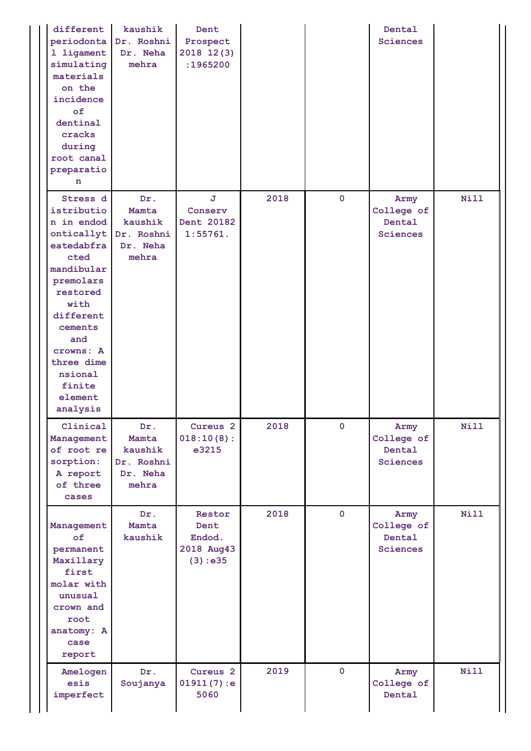| different<br>periodonta<br>1 ligament<br>simulating<br>materials<br>on the<br>incidence<br>of<br>dentinal<br>cracks<br>during<br>root canal<br>preparatio<br>n                                                                | kaushik<br>Dr. Roshni<br>Dr. Neha<br>mehra                 | Dent<br>Prospect<br>2018 12(3)<br>:1965200        |      |              | Dental<br><b>Sciences</b>                       |             |
|-------------------------------------------------------------------------------------------------------------------------------------------------------------------------------------------------------------------------------|------------------------------------------------------------|---------------------------------------------------|------|--------------|-------------------------------------------------|-------------|
| Stress d<br>istributio<br>n in endod<br>onticallyt<br>eatedabfra<br>cted<br>mandibular<br>premolars<br>restored<br>with<br>different<br>cements<br>and<br>crowns: A<br>three dime<br>nsional<br>finite<br>element<br>analysis | Dr.<br>Mamta<br>kaushik<br>Dr. Roshni<br>Dr. Neha<br>mehra | J.<br>Conserv<br>Dent 20182<br>1:55761.           | 2018 | $\mathbf 0$  | Army<br>College of<br>Dental<br>Sciences        | <b>Nill</b> |
| Clinical<br>Management<br>of root re<br>sorption:<br>A report<br>of three<br>cases                                                                                                                                            | Dr.<br>Mamta<br>kaushik<br>Dr. Roshni<br>Dr. Neha<br>mehra | Cureus <sub>2</sub><br>018:10(8):<br>e3215        | 2018 | $\mathbf 0$  | Army<br>College of<br>Dental<br><b>Sciences</b> | <b>Nill</b> |
| Management<br>of<br>permanent<br>Maxillary<br>first<br>molar with<br>unusual<br>crown and<br>root<br>anatomy: A<br>case<br>report                                                                                             | Dr.<br>Mamta<br>kaushik                                    | Restor<br>Dent<br>Endod.<br>2018 Aug43<br>(3):e35 | 2018 | $\mathbf{0}$ | Army<br>College of<br>Dental<br><b>Sciences</b> | <b>Nill</b> |
| Amelogen<br>esis<br>imperfect                                                                                                                                                                                                 | Dr.<br>Soujanya                                            | Cureus <sub>2</sub><br>01911(7):e<br>5060         | 2019 | $\mathbf{0}$ | Army<br>College of<br>Dental                    | <b>Nill</b> |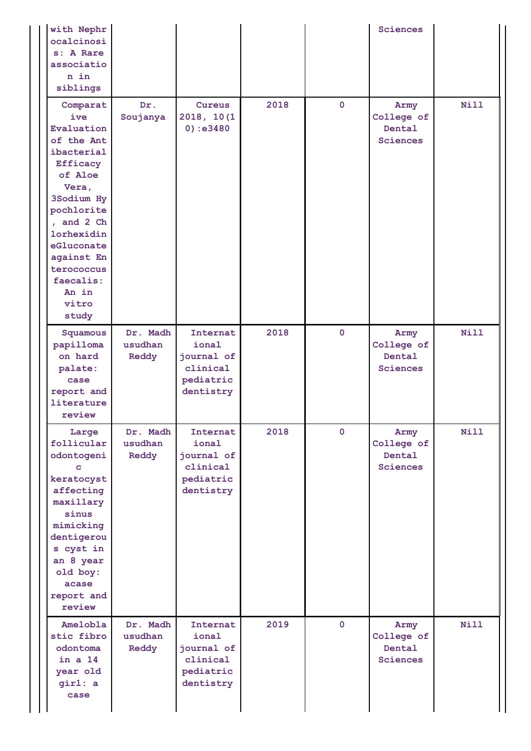| with Nephr<br>ocalcinosi<br>s: A Rare<br>associatio<br>n in<br>siblings                                                                                                                                                                    |                              |                                                                       |      |                | <b>Sciences</b>                                 |             |
|--------------------------------------------------------------------------------------------------------------------------------------------------------------------------------------------------------------------------------------------|------------------------------|-----------------------------------------------------------------------|------|----------------|-------------------------------------------------|-------------|
| Comparat<br>ive<br>Evaluation<br>of the Ant<br>ibacterial<br><b>Efficacy</b><br>of Aloe<br>Vera,<br>3Sodium Hy<br>pochlorite<br>, and 2 Ch<br>lorhexidin<br>eGluconate<br>against En<br>terococcus<br>faecalis:<br>An in<br>vitro<br>study | Dr.<br>Soujanya              | Cureus<br>2018, 10(1)<br>0):e3480                                     | 2018 | $\overline{0}$ | Army<br>College of<br>Dental<br><b>Sciences</b> | <b>Nill</b> |
| Squamous<br>papilloma<br>on hard<br>palate:<br>case<br>report and<br>literature<br>review                                                                                                                                                  | Dr. Madh<br>usudhan<br>Reddy | Internat<br>ional<br>journal of<br>clinical<br>pediatric<br>dentistry | 2018 | $\mathbf 0$    | Army<br>College of<br>Dental<br><b>Sciences</b> | <b>Nill</b> |
| Large<br>follicular<br>odontogeni<br>c<br>keratocyst<br>affecting<br>maxillary<br>sinus<br>mimicking<br>dentigerou<br>s cyst in<br>an 8 year<br>old boy:<br>acase<br>report and<br>review                                                  | Dr. Madh<br>usudhan<br>Reddy | Internat<br>ional<br>journal of<br>clinical<br>pediatric<br>dentistry | 2018 | $\mathbf{0}$   | Army<br>College of<br>Dental<br><b>Sciences</b> | Nill        |
| Amelobla<br>stic fibro<br>odontoma<br>in a 14<br>year old<br>girl: a<br>case                                                                                                                                                               | Dr. Madh<br>usudhan<br>Reddy | Internat<br>ional<br>journal of<br>clinical<br>pediatric<br>dentistry | 2019 | $\mathbf{0}$   | Army<br>College of<br>Dental<br><b>Sciences</b> | <b>Nill</b> |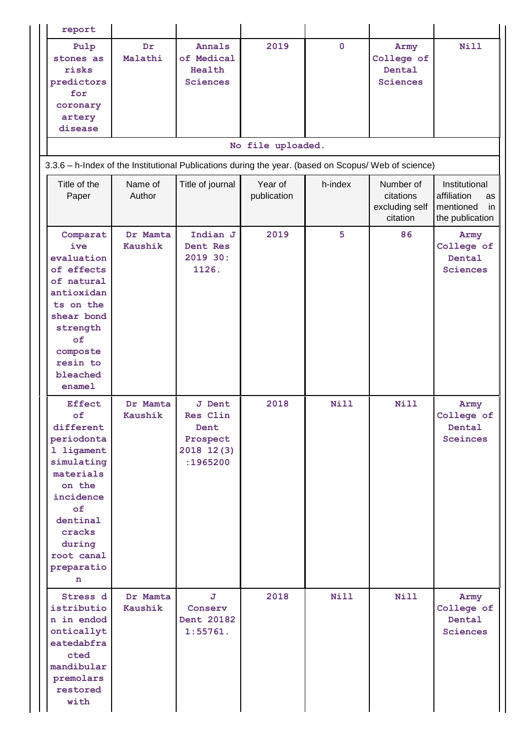| report                                                                                                                                                                                |                            |                                                                         |                        |              |                                                      |                                                                          |
|---------------------------------------------------------------------------------------------------------------------------------------------------------------------------------------|----------------------------|-------------------------------------------------------------------------|------------------------|--------------|------------------------------------------------------|--------------------------------------------------------------------------|
| Pulp<br>stones as<br>risks<br>predictors<br>for<br>coronary<br>artery<br>disease                                                                                                      | Dr<br>Malathi              | Annals<br>of Medical<br>Health<br><b>Sciences</b>                       | 2019                   | $\mathbf{0}$ | Army<br>College of<br>Dental<br><b>Sciences</b>      | Nill                                                                     |
| 3.3.6 - h-Index of the Institutional Publications during the year. (based on Scopus/ Web of science)                                                                                  |                            |                                                                         | No file uploaded.      |              |                                                      |                                                                          |
| Title of the<br>Paper                                                                                                                                                                 | Name of<br>Author          | Title of journal                                                        | Year of<br>publication | h-index      | Number of<br>citations<br>excluding self<br>citation | Institutional<br>affiliation<br>as<br>mentioned<br>in<br>the publication |
| Comparat<br>ive<br>evaluation<br>of effects<br>of natural<br>antioxidan<br>ts on the<br>shear bond<br>strength<br>оf<br>composte<br>resin to<br>bleached<br>enamel                    | Dr Mamta<br>Kaushik        | Indian J<br>Dent Res<br>2019 30:<br>1126.                               | 2019                   | 5            | 86                                                   | Army<br>College of<br>Dental<br><b>Sciences</b>                          |
| <b>Effect</b><br>of<br>different<br>periodonta<br>1 ligament<br>simulating<br>materials<br>on the<br>incidence<br>of<br>dentinal<br>cracks<br>during<br>root canal<br>preparatio<br>n | Dr Mamta<br><b>Kaushik</b> | <b>J</b> Dent<br>Res Clin<br>Dent<br>Prospect<br>2018 12(3)<br>:1965200 | 2018                   | <b>Nill</b>  | Nill                                                 | Army<br>College of<br>Dental<br><b>Sceinces</b>                          |
| Stress d<br>istributio<br>n in endod<br>onticallyt<br>eatedabfra<br>cted<br>mandibular<br>premolars<br>restored<br>with                                                               | Dr Mamta<br>Kaushik        | J<br>Conserv<br>Dent 20182<br>1:55761.                                  | 2018                   | <b>Nill</b>  | <b>Nill</b>                                          | Army<br>College of<br>Dental<br><b>Sciences</b>                          |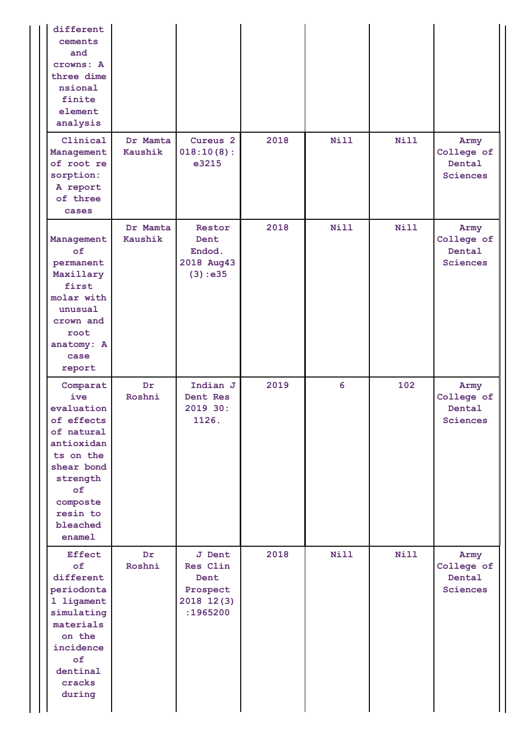| different<br>cements<br>and<br>crowns: A<br>three dime<br>nsional<br>finite<br>element<br>analysis                                                                 |                     |                                                                  |      |             |             |                                                 |
|--------------------------------------------------------------------------------------------------------------------------------------------------------------------|---------------------|------------------------------------------------------------------|------|-------------|-------------|-------------------------------------------------|
| Clinical<br>Management<br>of root re<br>sorption:<br>A report<br>of three<br>cases                                                                                 | Dr Mamta<br>Kaushik | Cureus <sub>2</sub><br>018:10(8):<br>e3215                       | 2018 | <b>Nill</b> | <b>Nill</b> | Army<br>College of<br>Dental<br><b>Sciences</b> |
| Management<br>of<br>permanent<br>Maxillary<br>first<br>molar with<br>unusual<br>crown and<br>root<br>anatomy: A<br>case<br>report                                  | Dr Mamta<br>Kaushik | Restor<br>Dent<br>Endod.<br>2018 Aug43<br>(3):e35                | 2018 | <b>Nill</b> | <b>Nill</b> | Army<br>College of<br>Dental<br><b>Sciences</b> |
| Comparat<br>ive<br>evaluation<br>of effects<br>of natural<br>antioxidan<br>ts on the<br>shear bond<br>strength<br>of<br>composte<br>resin to<br>bleached<br>enamel | Dr<br>Roshni        | Indian J<br>Dent Res<br>2019 30:<br>1126.                        | 2019 | 6           | 102         | Army<br>College of<br>Dental<br>Sciences        |
| <b>Effect</b><br>of<br>different<br>periodonta<br>1 ligament<br>simulating<br>materials<br>on the<br>incidence<br>of<br>dentinal<br>cracks<br>during               | Dr.<br>Roshni       | J Dent<br>Res Clin<br>Dent<br>Prospect<br>2018 12(3)<br>:1965200 | 2018 | <b>Nill</b> | <b>Nill</b> | Army<br>College of<br>Dental<br><b>Sciences</b> |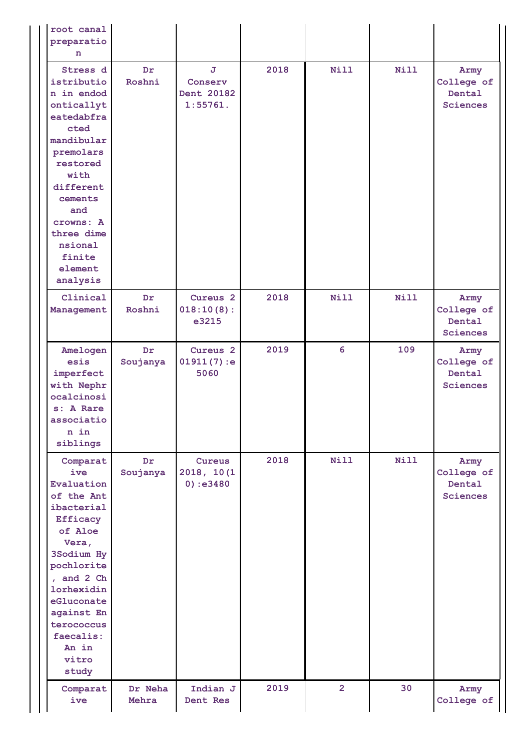| root canal<br>preparatio<br>n                                                                                                                                                                                                              |                  |                                            |      |                |             |                                          |
|--------------------------------------------------------------------------------------------------------------------------------------------------------------------------------------------------------------------------------------------|------------------|--------------------------------------------|------|----------------|-------------|------------------------------------------|
| Stress d<br>istributio<br>n in endod<br>onticallyt<br>eatedabfra<br>cted<br>mandibular<br>premolars<br>restored<br>with<br>different<br>cements<br>and<br>crowns: A<br>three dime<br>nsional<br>finite<br>element<br>analysis              | Dr<br>Roshni     | J.<br>Conserv<br>Dent 20182<br>1:55761.    | 2018 | <b>Nill</b>    | <b>Nill</b> | Army<br>College of<br>Dental<br>Sciences |
| Clinical<br>Management                                                                                                                                                                                                                     | Dr<br>Roshni     | Cureus <sub>2</sub><br>018:10(8):<br>e3215 | 2018 | <b>Nill</b>    | <b>Nill</b> | Army<br>College of<br>Dental<br>Sciences |
| Amelogen<br>esis<br>imperfect<br>with Nephr<br>ocalcinosi<br>s: A Rare<br>associatio<br>n in<br>siblings                                                                                                                                   | Dr<br>Soujanya   | Cureus <sub>2</sub><br>01911(7):e<br>5060  | 2019 | 6              | 109         | Army<br>College of<br>Dental<br>Sciences |
| Comparat<br>ive<br>Evaluation<br>of the Ant<br>ibacterial<br><b>Efficacy</b><br>of Aloe<br>Vera,<br>3Sodium Hy<br>pochlorite<br>, and 2 Ch<br>lorhexidin<br>eGluconate<br>against En<br>terococcus<br>faecalis:<br>An in<br>vitro<br>study | Dr<br>Soujanya   | Cureus<br>2018, 10(1<br>0):e3480           | 2018 | <b>Nill</b>    | <b>Nill</b> | Army<br>College of<br>Dental<br>Sciences |
| Comparat<br>ive                                                                                                                                                                                                                            | Dr Neha<br>Mehra | Indian J<br>Dent Res                       | 2019 | $\overline{2}$ | 30          | Army<br>College of                       |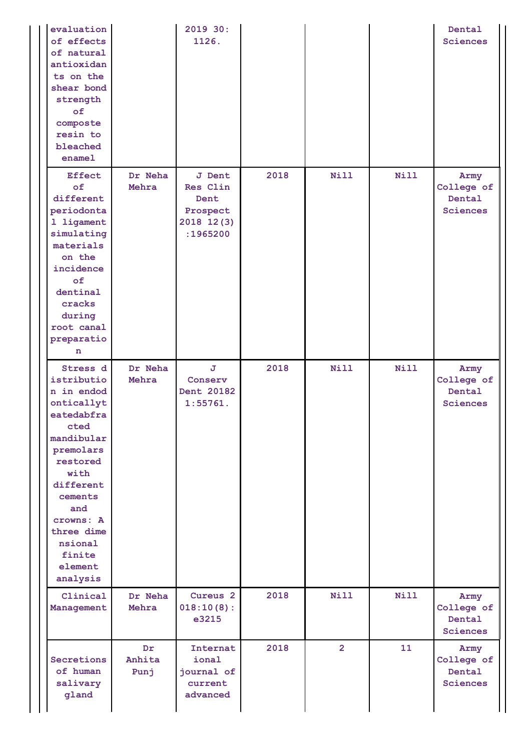| evaluation<br>of effects<br>of natural<br>antioxidan<br>ts on the<br>shear bond<br>strength<br>of<br>composte<br>resin to<br>bleached<br>ename1                                                                               |                       | 2019 30:<br>1126.                                                       |      |                |             | Dental<br>Sciences                              |
|-------------------------------------------------------------------------------------------------------------------------------------------------------------------------------------------------------------------------------|-----------------------|-------------------------------------------------------------------------|------|----------------|-------------|-------------------------------------------------|
| <b>Effect</b><br>of<br>different<br>periodonta<br>1 ligament<br>simulating<br>materials<br>on the<br>incidence<br>of<br>dentinal<br>cracks<br>during<br>root canal<br>preparatio<br>n                                         | Dr Neha<br>Mehra      | <b>J</b> Dent<br>Res Clin<br>Dent<br>Prospect<br>2018 12(3)<br>:1965200 | 2018 | <b>Nill</b>    | <b>Nill</b> | Army<br>College of<br>Dental<br><b>Sciences</b> |
| Stress d<br>istributio<br>n in endod<br>onticallyt<br>eatedabfra<br>cted<br>mandibular<br>premolars<br>restored<br>with<br>different<br>cements<br>and<br>crowns: A<br>three dime<br>nsional<br>finite<br>element<br>analysis | Dr Neha<br>Mehra      | J.<br>Conserv<br>Dent 20182<br>1:55761.                                 | 2018 | <b>Nill</b>    | <b>Nill</b> | Army<br>College of<br>Dental<br>Sciences        |
| Clinical<br>Management                                                                                                                                                                                                        | Dr Neha<br>Mehra      | Cureus <sub>2</sub><br>018:10(8):<br>e3215                              | 2018 | <b>Nill</b>    | <b>Nill</b> | Army<br>College of<br>Dental<br><b>Sciences</b> |
| Secretions<br>of human<br>salivary<br>gland                                                                                                                                                                                   | Dr.<br>Anhita<br>Punj | Internat<br>ional<br>journal of<br>current<br>advanced                  | 2018 | $\overline{2}$ | 11          | Army<br>College of<br>Dental<br>Sciences        |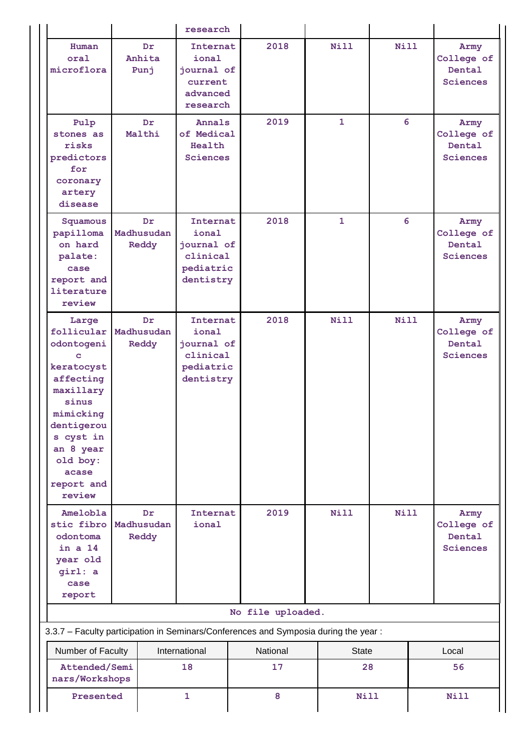|                                                                                                                                                                                           | research                   |                                                                       |                                                                                     |              |             |  |                                                        |  |
|-------------------------------------------------------------------------------------------------------------------------------------------------------------------------------------------|----------------------------|-----------------------------------------------------------------------|-------------------------------------------------------------------------------------|--------------|-------------|--|--------------------------------------------------------|--|
| Human<br>oral<br>microflora                                                                                                                                                               | Dr.<br>Anhita<br>Punj      | Internat<br>ional<br>journal of<br>current<br>advanced<br>research    | 2018                                                                                | Nill         | Nill        |  | Army<br>College of<br>Dental<br><b>Sciences</b>        |  |
| Pulp<br>stones as<br>risks<br>predictors<br>for<br>coronary<br>artery<br>disease                                                                                                          | Dr.<br>Malthi              |                                                                       | 2019<br>of Medical                                                                  | $\mathbf{1}$ | 6           |  | Army<br>College of<br>Dental<br><b>Sciences</b>        |  |
| Squamous<br>papilloma<br>on hard<br>palate:<br>case<br>report and<br>literature<br>review                                                                                                 | Dr.<br>Madhusudan<br>Reddy | Internat<br>ional<br>journal of<br>clinical<br>pediatric<br>dentistry | 2018                                                                                | $\mathbf{1}$ | 6           |  | Army<br>College of<br><b>Dental</b><br><b>Sciences</b> |  |
| Large<br>follicular<br>odontogeni<br>c<br>keratocyst<br>affecting<br>maxillary<br>sinus<br>mimicking<br>dentigerou<br>s cyst in<br>an 8 year<br>old boy:<br>acase<br>report and<br>review | Dr.<br>Madhusudan<br>Reddy | Internat<br>ional<br>journal of<br>clinical<br>pediatric<br>dentistry | 2018                                                                                | <b>Nill</b>  | Nill        |  | Army<br>College of<br>Dental<br><b>Sciences</b>        |  |
| Amelobla<br>stic fibro<br>odontoma<br>in a 14<br>year old<br>girl: a<br>case<br>report                                                                                                    | Dr.<br>Madhusudan<br>Reddy | Internat<br>ional                                                     | 2019                                                                                | <b>Nill</b>  | <b>Nill</b> |  | Army<br>College of<br>Dental<br><b>Sciences</b>        |  |
|                                                                                                                                                                                           |                            |                                                                       | No file uploaded.                                                                   |              |             |  |                                                        |  |
|                                                                                                                                                                                           |                            |                                                                       | 3.3.7 - Faculty participation in Seminars/Conferences and Symposia during the year: |              |             |  |                                                        |  |
| Number of Faculty                                                                                                                                                                         |                            | International                                                         | National                                                                            | State        |             |  | Local                                                  |  |
| Attended/Semi<br>nars/Workshops                                                                                                                                                           |                            | 18                                                                    | 17                                                                                  | 28           |             |  | 56                                                     |  |
|                                                                                                                                                                                           | Presented<br>$\mathbf{1}$  |                                                                       | 8                                                                                   | <b>Nill</b>  |             |  | <b>Nill</b>                                            |  |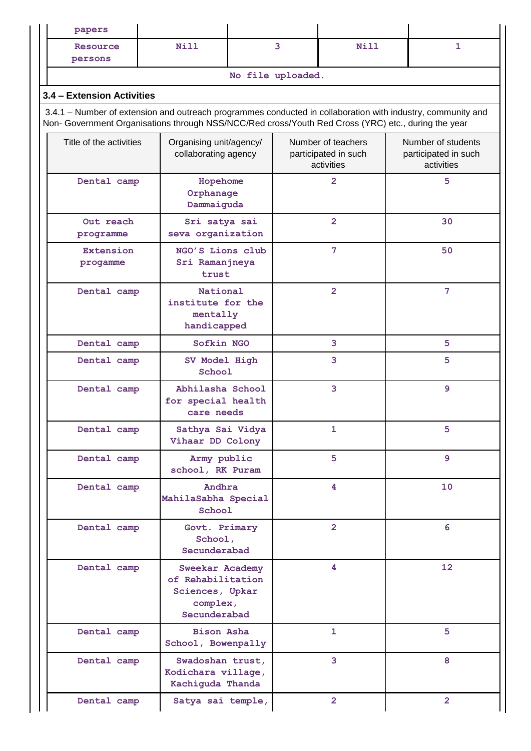| papers                                                                                                                                                                                                             |                                                                                            |                   |                                                          |   |                                                          |
|--------------------------------------------------------------------------------------------------------------------------------------------------------------------------------------------------------------------|--------------------------------------------------------------------------------------------|-------------------|----------------------------------------------------------|---|----------------------------------------------------------|
| Resource<br>persons                                                                                                                                                                                                | <b>Nill</b>                                                                                | 3<br><b>Nill</b>  |                                                          |   | 1                                                        |
|                                                                                                                                                                                                                    |                                                                                            | No file uploaded. |                                                          |   |                                                          |
| 3.4 - Extension Activities                                                                                                                                                                                         |                                                                                            |                   |                                                          |   |                                                          |
| 3.4.1 – Number of extension and outreach programmes conducted in collaboration with industry, community and<br>Non- Government Organisations through NSS/NCC/Red cross/Youth Red Cross (YRC) etc., during the year |                                                                                            |                   |                                                          |   |                                                          |
| Title of the activities                                                                                                                                                                                            | Organising unit/agency/<br>collaborating agency                                            |                   | Number of teachers<br>participated in such<br>activities |   | Number of students<br>participated in such<br>activities |
| Dental camp                                                                                                                                                                                                        | Hopehome<br>Orphanage<br>Dammaiguda                                                        |                   | $\overline{2}$                                           |   | 5                                                        |
| Out reach<br>programme                                                                                                                                                                                             | Sri satya sai<br>seva organization                                                         |                   | $\overline{2}$                                           |   | 30                                                       |
| <b>Extension</b><br>progamme                                                                                                                                                                                       | NGO'S Lions club<br>Sri Ramanjneya<br>trust                                                |                   | 7                                                        |   | 50                                                       |
| Dental camp                                                                                                                                                                                                        | National<br>institute for the<br>mentally<br>handicapped                                   | $\overline{2}$    |                                                          |   | 7                                                        |
| Dental camp                                                                                                                                                                                                        | Sofkin NGO                                                                                 |                   | 3                                                        |   | 5                                                        |
| Dental camp                                                                                                                                                                                                        | SV Model High<br>School                                                                    |                   | 3                                                        |   | 5                                                        |
| Dental camp                                                                                                                                                                                                        | Abhilasha School<br>for special health<br>care needs                                       |                   | 3                                                        |   | 9                                                        |
| Dental camp                                                                                                                                                                                                        | Sathya Sai Vidya<br>Vihaar DD Colony                                                       | 1                 |                                                          |   | 5                                                        |
| Dental camp                                                                                                                                                                                                        | Army public<br>school, RK Puram                                                            | 5                 |                                                          |   | $\overline{9}$                                           |
| Dental camp                                                                                                                                                                                                        | Andhra<br>MahilaSabha Special<br>School                                                    |                   | 4                                                        |   | 10                                                       |
| Dental camp                                                                                                                                                                                                        | Govt. Primary<br>School,<br>Secunderabad                                                   |                   | $\overline{2}$                                           | 6 |                                                          |
| Dental camp                                                                                                                                                                                                        | <b>Sweekar Academy</b><br>of Rehabilitation<br>Sciences, Upkar<br>complex,<br>Secunderabad |                   | 4                                                        |   | 12                                                       |
| Dental camp                                                                                                                                                                                                        | <b>Bison Asha</b><br>School, Bowenpally                                                    |                   | 1                                                        |   | 5                                                        |
| Dental camp                                                                                                                                                                                                        | Swadoshan trust,<br>Kodichara village,<br>Kachiguda Thanda                                 |                   | 3                                                        |   | 8                                                        |
| Dental camp                                                                                                                                                                                                        | Satya sai temple,                                                                          |                   | $\overline{2}$                                           |   | $\overline{2}$                                           |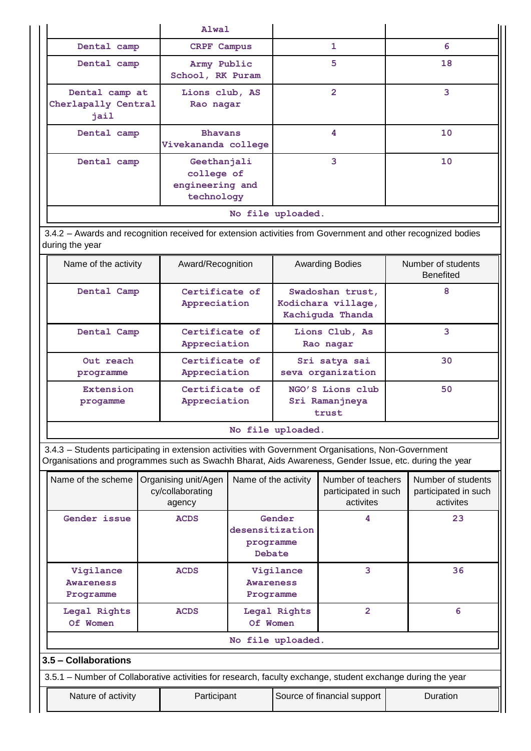|                                                                           | Alwal                                 |                |    |  |  |  |  |
|---------------------------------------------------------------------------|---------------------------------------|----------------|----|--|--|--|--|
| Dental camp                                                               | CRPF Campus                           | 1              | 6  |  |  |  |  |
| Dental camp                                                               | Army Public<br>School, RK Puram       | 5              | 18 |  |  |  |  |
| Dental camp at<br>Cherlapally Central<br>jail                             | Lions club, AS<br>Rao nagar           | $\overline{2}$ | 3  |  |  |  |  |
| Dental camp                                                               | <b>Bhavans</b><br>Vivekananda college | 4              | 10 |  |  |  |  |
| Geethanjali<br>Dental camp<br>college of<br>engineering and<br>technology |                                       | 3              | 10 |  |  |  |  |
| No file uploaded.                                                         |                                       |                |    |  |  |  |  |

3.4.2 – Awards and recognition received for extension activities from Government and other recognized bodies during the year

| Name of the activity   | Award/Recognition              | <b>Awarding Bodies</b>                                     | Number of students<br><b>Benefited</b> |
|------------------------|--------------------------------|------------------------------------------------------------|----------------------------------------|
| Dental Camp            | Certificate of<br>Appreciation | Swadoshan trust,<br>Kodichara village,<br>Kachiguda Thanda | 8                                      |
| Dental Camp            | Certificate of<br>Appreciation | Lions Club, As<br>Rao nagar                                | 3                                      |
| Out reach<br>programme | Certificate of<br>Appreciation | Sri satya sai<br>seva organization                         | 30                                     |
| Extension<br>progamme  | Certificate of<br>Appreciation | NGO'S Lions club<br>Sri Ramanjneya<br>trust                | 50                                     |

**No file uploaded.**

3.4.3 – Students participating in extension activities with Government Organisations, Non-Government Organisations and programmes such as Swachh Bharat, Aids Awareness, Gender Issue, etc. during the year

| Name of the scheme                         | Organising unit/Agen<br>cy/collaborating<br>agency                                                          | Name of the activity                             | Number of teachers<br>participated in such<br>activites | Number of students<br>participated in such<br>activites |  |  |  |  |  |  |
|--------------------------------------------|-------------------------------------------------------------------------------------------------------------|--------------------------------------------------|---------------------------------------------------------|---------------------------------------------------------|--|--|--|--|--|--|
| Gender issue                               | <b>ACDS</b>                                                                                                 | Gender<br>desensitization<br>programme<br>Debate | 4                                                       | 23                                                      |  |  |  |  |  |  |
| Vigilance<br><b>Awareness</b><br>Programme | <b>ACDS</b>                                                                                                 | Vigilance<br><b>Awareness</b><br>Programme       | 3                                                       | 36                                                      |  |  |  |  |  |  |
| Legal Rights<br>Of Women                   | <b>ACDS</b>                                                                                                 | Legal Rights<br>Of Women                         | $\overline{2}$                                          | 6                                                       |  |  |  |  |  |  |
|                                            | No file uploaded.                                                                                           |                                                  |                                                         |                                                         |  |  |  |  |  |  |
| 3.5 – Collaborations                       |                                                                                                             |                                                  |                                                         |                                                         |  |  |  |  |  |  |
|                                            | 3.5.1 – Number of Collaborative activities for research, faculty exchange, student exchange during the year |                                                  |                                                         |                                                         |  |  |  |  |  |  |
| Nature of activity                         | Source of financial support                                                                                 | Duration                                         |                                                         |                                                         |  |  |  |  |  |  |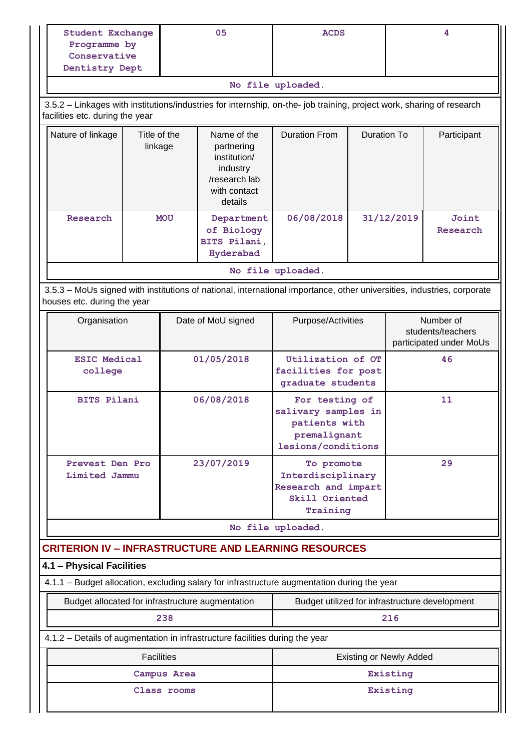|                                                                                                                                                       | <b>Student Exchange</b><br>Programme by<br>Conservative<br>Dentistry Dept |             | 05                                                                                                | <b>ACDS</b>                                                                                  |                    | 4                                                         |                   |
|-------------------------------------------------------------------------------------------------------------------------------------------------------|---------------------------------------------------------------------------|-------------|---------------------------------------------------------------------------------------------------|----------------------------------------------------------------------------------------------|--------------------|-----------------------------------------------------------|-------------------|
|                                                                                                                                                       |                                                                           |             |                                                                                                   | No file uploaded.                                                                            |                    |                                                           |                   |
| 3.5.2 - Linkages with institutions/industries for internship, on-the- job training, project work, sharing of research                                 |                                                                           |             |                                                                                                   |                                                                                              |                    |                                                           |                   |
| facilities etc. during the year                                                                                                                       |                                                                           |             |                                                                                                   |                                                                                              |                    |                                                           |                   |
| Nature of linkage                                                                                                                                     | Title of the<br>linkage                                                   |             | Name of the<br>partnering<br>institution/<br>industry<br>/research lab<br>with contact<br>details | <b>Duration From</b>                                                                         | <b>Duration To</b> |                                                           | Participant       |
| Research                                                                                                                                              |                                                                           | <b>MOU</b>  | Department<br>of Biology<br>BITS Pilani,<br>Hyderabad                                             | 06/08/2018                                                                                   | 31/12/2019         |                                                           | Joint<br>Research |
|                                                                                                                                                       |                                                                           |             |                                                                                                   | No file uploaded.                                                                            |                    |                                                           |                   |
| 3.5.3 - MoUs signed with institutions of national, international importance, other universities, industries, corporate<br>houses etc. during the year |                                                                           |             |                                                                                                   |                                                                                              |                    |                                                           |                   |
| Organisation                                                                                                                                          |                                                                           |             | Date of MoU signed                                                                                | Purpose/Activities                                                                           |                    | Number of<br>students/teachers<br>participated under MoUs |                   |
| <b>ESIC Medical</b><br>college                                                                                                                        |                                                                           |             | 01/05/2018                                                                                        | Utilization of OT<br>facilities for post<br>graduate students                                |                    | 46                                                        |                   |
| <b>BITS Pilani</b>                                                                                                                                    |                                                                           |             | 06/08/2018                                                                                        | For testing of<br>salivary samples in<br>patients with<br>premalignant<br>lesions/conditions |                    |                                                           | 11                |
| Prevest Den Pro<br>Limited Jammu                                                                                                                      |                                                                           |             | 23/07/2019                                                                                        | To promote<br>Interdisciplinary<br>Research and impart<br>Skill Oriented<br>Training         |                    |                                                           | 29                |
|                                                                                                                                                       |                                                                           |             |                                                                                                   | No file uploaded.                                                                            |                    |                                                           |                   |
| <b>CRITERION IV - INFRASTRUCTURE AND LEARNING RESOURCES</b><br>4.1 - Physical Facilities                                                              |                                                                           |             |                                                                                                   |                                                                                              |                    |                                                           |                   |
| 4.1.1 - Budget allocation, excluding salary for infrastructure augmentation during the year                                                           |                                                                           |             |                                                                                                   |                                                                                              |                    |                                                           |                   |
| Budget allocated for infrastructure augmentation                                                                                                      |                                                                           |             |                                                                                                   | Budget utilized for infrastructure development                                               |                    |                                                           |                   |
|                                                                                                                                                       |                                                                           | 238         |                                                                                                   |                                                                                              |                    | 216                                                       |                   |
| 4.1.2 - Details of augmentation in infrastructure facilities during the year                                                                          |                                                                           |             |                                                                                                   |                                                                                              |                    |                                                           |                   |
|                                                                                                                                                       | <b>Facilities</b>                                                         |             |                                                                                                   |                                                                                              |                    | <b>Existing or Newly Added</b>                            |                   |
|                                                                                                                                                       |                                                                           | Campus Area |                                                                                                   |                                                                                              |                    | Existing                                                  |                   |
|                                                                                                                                                       |                                                                           | Class rooms |                                                                                                   | Existing                                                                                     |                    |                                                           |                   |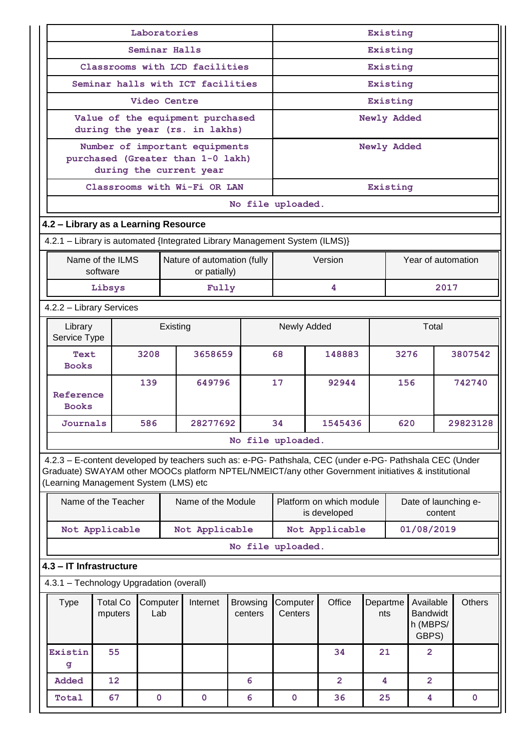|                                                                                                                                                                                                                                                         |                                                                             | Laboratories                      |                                |                                   |                            | Existing            |              |                          |                 |      |                                                   |               |
|---------------------------------------------------------------------------------------------------------------------------------------------------------------------------------------------------------------------------------------------------------|-----------------------------------------------------------------------------|-----------------------------------|--------------------------------|-----------------------------------|----------------------------|---------------------|--------------|--------------------------|-----------------|------|---------------------------------------------------|---------------|
|                                                                                                                                                                                                                                                         |                                                                             | Seminar Halls                     |                                |                                   |                            | Existing            |              |                          |                 |      |                                                   |               |
|                                                                                                                                                                                                                                                         |                                                                             |                                   |                                | Classrooms with LCD facilities    |                            | Existing            |              |                          |                 |      |                                                   |               |
|                                                                                                                                                                                                                                                         |                                                                             |                                   |                                | Seminar halls with ICT facilities |                            | Existing            |              |                          |                 |      |                                                   |               |
|                                                                                                                                                                                                                                                         |                                                                             | <b>Video Centre</b>               |                                |                                   |                            | Existing            |              |                          |                 |      |                                                   |               |
|                                                                                                                                                                                                                                                         | Value of the equipment purchased<br>during the year (rs. in lakhs)          |                                   |                                |                                   |                            |                     |              |                          | Newly Added     |      |                                                   |               |
|                                                                                                                                                                                                                                                         |                                                                             |                                   | Number of important equipments |                                   |                            |                     |              | Newly Added              |                 |      |                                                   |               |
|                                                                                                                                                                                                                                                         |                                                                             | purchased (Greater than 1-0 lakh) |                                |                                   |                            |                     |              |                          |                 |      |                                                   |               |
|                                                                                                                                                                                                                                                         | during the current year                                                     |                                   |                                |                                   |                            |                     |              |                          |                 |      |                                                   |               |
|                                                                                                                                                                                                                                                         |                                                                             |                                   |                                | Classrooms with Wi-Fi OR LAN      |                            |                     |              |                          | Existing        |      |                                                   |               |
|                                                                                                                                                                                                                                                         | No file uploaded.                                                           |                                   |                                |                                   |                            |                     |              |                          |                 |      |                                                   |               |
| 4.2 - Library as a Learning Resource                                                                                                                                                                                                                    |                                                                             |                                   |                                |                                   |                            |                     |              |                          |                 |      |                                                   |               |
| 4.2.1 - Library is automated {Integrated Library Management System (ILMS)}                                                                                                                                                                              |                                                                             |                                   |                                |                                   |                            |                     |              |                          |                 |      |                                                   |               |
|                                                                                                                                                                                                                                                         | Name of the ILMS<br>Nature of automation (fully<br>software<br>or patially) |                                   |                                |                                   |                            |                     | Version      |                          |                 |      | Year of automation                                |               |
|                                                                                                                                                                                                                                                         | Libsys                                                                      |                                   |                                | Fully                             |                            |                     |              | 4                        |                 |      | 2017                                              |               |
| 4.2.2 - Library Services                                                                                                                                                                                                                                |                                                                             |                                   |                                |                                   |                            |                     |              |                          |                 |      |                                                   |               |
| Library<br>Service Type                                                                                                                                                                                                                                 |                                                                             |                                   | Existing                       |                                   |                            | Newly Added         |              |                          |                 |      | Total                                             |               |
| Text                                                                                                                                                                                                                                                    |                                                                             | 3208                              |                                | 3658659                           |                            | 68                  |              | 148883                   |                 | 3276 |                                                   | 3807542       |
| <b>Books</b>                                                                                                                                                                                                                                            |                                                                             | 139                               |                                |                                   |                            | 17                  |              | 92944                    |                 | 156  |                                                   | 742740        |
| Reference<br><b>Books</b>                                                                                                                                                                                                                               |                                                                             |                                   |                                | 649796                            |                            |                     |              |                          |                 |      |                                                   |               |
| Journals                                                                                                                                                                                                                                                |                                                                             | 586                               |                                | 28277692                          |                            | 34<br>1545436       |              |                          | 29823128<br>620 |      |                                                   |               |
|                                                                                                                                                                                                                                                         |                                                                             |                                   |                                |                                   | No file uploaded.          |                     |              |                          |                 |      |                                                   |               |
| 4.2.3 - E-content developed by teachers such as: e-PG- Pathshala, CEC (under e-PG- Pathshala CEC (Under<br>Graduate) SWAYAM other MOOCs platform NPTEL/NMEICT/any other Government initiatives & institutional<br>(Learning Management System (LMS) etc |                                                                             |                                   |                                |                                   |                            |                     |              |                          |                 |      |                                                   |               |
|                                                                                                                                                                                                                                                         | Name of the Teacher                                                         |                                   |                                | Name of the Module                |                            |                     | is developed | Platform on which module |                 |      | Date of launching e-<br>content                   |               |
|                                                                                                                                                                                                                                                         | Not Applicable                                                              |                                   |                                | Not Applicable                    |                            |                     |              | Not Applicable           |                 |      | 01/08/2019                                        |               |
|                                                                                                                                                                                                                                                         |                                                                             |                                   |                                |                                   | No file uploaded.          |                     |              |                          |                 |      |                                                   |               |
| 4.3 - IT Infrastructure                                                                                                                                                                                                                                 |                                                                             |                                   |                                |                                   |                            |                     |              |                          |                 |      |                                                   |               |
| 4.3.1 - Technology Upgradation (overall)                                                                                                                                                                                                                |                                                                             |                                   |                                |                                   |                            |                     |              |                          |                 |      |                                                   |               |
| <b>Type</b>                                                                                                                                                                                                                                             | <b>Total Co</b><br>Computer<br>Lab<br>mputers                               |                                   |                                | Internet                          | <b>Browsing</b><br>centers | Computer<br>Centers |              | Office                   | Departme<br>nts |      | Available<br><b>Bandwidt</b><br>h (MBPS/<br>GBPS) | <b>Others</b> |
| Existin<br>g                                                                                                                                                                                                                                            | 55                                                                          |                                   |                                |                                   |                            |                     |              | 34                       | 21              |      | $\overline{2}$                                    |               |
| Added                                                                                                                                                                                                                                                   | 12                                                                          |                                   |                                |                                   | 6                          |                     |              | $\overline{2}$           | 4               |      | $\overline{2}$                                    |               |
|                                                                                                                                                                                                                                                         | 67<br>$\pmb{0}$<br>$\mathbf 0$<br>6<br>Total                                |                                   |                                |                                   |                            |                     |              | 36                       | 25              |      | 4                                                 | $\mathbf 0$   |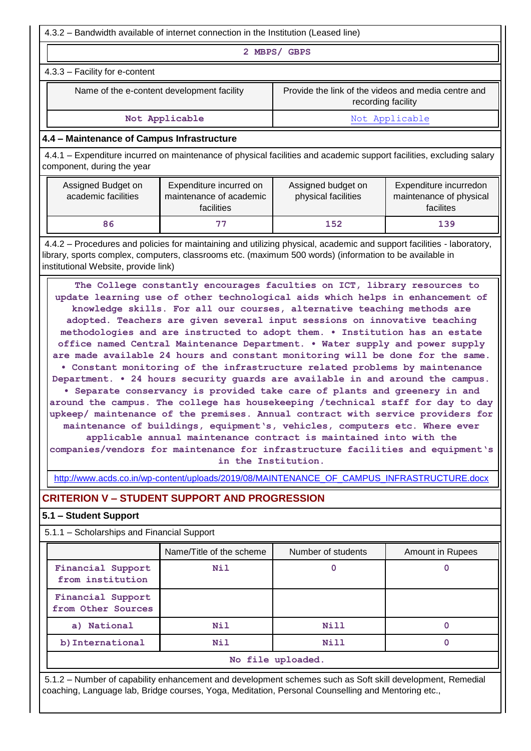4.3.2 – Bandwidth available of internet connection in the Institution (Leased line)

**2 MBPS/ GBPS**

#### 4.3.3 – Facility for e-content

Name of the e-content development facility Provide the link of the videos and media centre and recording facility

Not Applicable **Not Applicable Not Applicable** 

#### **4.4 – Maintenance of Campus Infrastructure**

4.4.1 – Expenditure incurred on maintenance of physical facilities and academic support facilities, excluding salary component, during the year

| Assigned Budget on<br>academic facilities | Expenditure incurred on<br>maintenance of academic<br>facilities | Assigned budget on<br>physical facilities | Expenditure incurredon<br>maintenance of physical<br>facilites |
|-------------------------------------------|------------------------------------------------------------------|-------------------------------------------|----------------------------------------------------------------|
| 86                                        |                                                                  | 152                                       | 139                                                            |

4.4.2 – Procedures and policies for maintaining and utilizing physical, academic and support facilities - laboratory, library, sports complex, computers, classrooms etc. (maximum 500 words) (information to be available in institutional Website, provide link)

**The College constantly encourages faculties on ICT, library resources to update learning use of other technological aids which helps in enhancement of knowledge skills. For all our courses, alternative teaching methods are adopted. Teachers are given several input sessions on innovative teaching methodologies and are instructed to adopt them. • Institution has an estate office named Central Maintenance Department. • Water supply and power supply are made available 24 hours and constant monitoring will be done for the same. • Constant monitoring of the infrastructure related problems by maintenance Department. • 24 hours security guards are available in and around the campus. • Separate conservancy is provided take care of plants and greenery in and around the campus. The college has housekeeping /technical staff for day to day upkeep/ maintenance of the premises. Annual contract with service providers for maintenance of buildings, equipment's, vehicles, computers etc. Where ever applicable annual maintenance contract is maintained into with the** 

**companies/vendors for maintenance for infrastructure facilities and equipment's in the Institution.**

[http://www.acds.co.in/wp-content/uploads/2019/08/MAINTENANCE\\_OF\\_CAMPUS\\_INFRASTRUCTURE.docx](http://www.acds.co.in/wp-content/uploads/2019/08/MAINTENANCE_OF_CAMPUS_INFRASTRUCTURE.docx)

# **CRITERION V – STUDENT SUPPORT AND PROGRESSION**

#### **5.1 – Student Support**

5.1.1 – Scholarships and Financial Support

|                                         | Name/Title of the scheme | Number of students | Amount in Rupees |  |  |  |  |
|-----------------------------------------|--------------------------|--------------------|------------------|--|--|--|--|
| Financial Support<br>from institution   | Nil                      |                    |                  |  |  |  |  |
| Financial Support<br>from Other Sources |                          |                    |                  |  |  |  |  |
| a) National                             | Nil                      | <b>Nill</b>        |                  |  |  |  |  |
| b) International                        | <b>Nil</b>               | <b>Nill</b>        |                  |  |  |  |  |
| No file uploaded.                       |                          |                    |                  |  |  |  |  |

5.1.2 – Number of capability enhancement and development schemes such as Soft skill development, Remedial coaching, Language lab, Bridge courses, Yoga, Meditation, Personal Counselling and Mentoring etc.,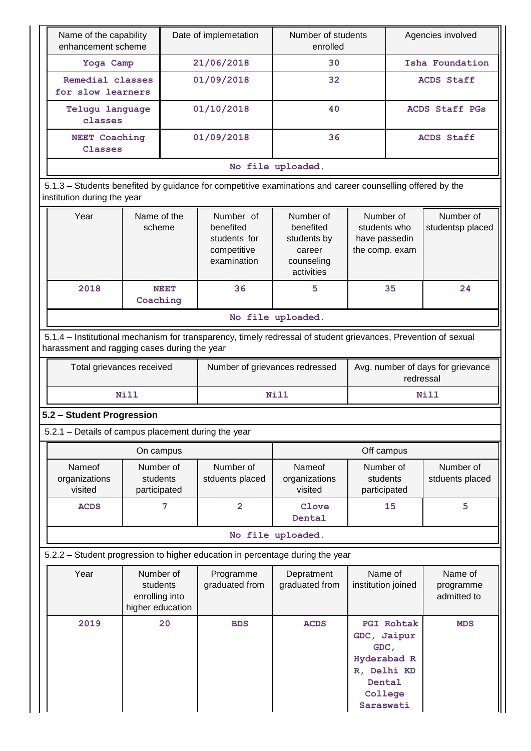| Name of the capability<br>enhancement scheme                                                                                                                   |                                       |            | Date of implemetation                                                | Number of students<br>enrolled                                                                           |                                                              | Agencies involved                   |  |
|----------------------------------------------------------------------------------------------------------------------------------------------------------------|---------------------------------------|------------|----------------------------------------------------------------------|----------------------------------------------------------------------------------------------------------|--------------------------------------------------------------|-------------------------------------|--|
| Yoga Camp                                                                                                                                                      |                                       |            | 21/06/2018                                                           | 30                                                                                                       |                                                              | Isha Foundation                     |  |
| Remedial classes<br>for slow learners                                                                                                                          |                                       |            | 01/09/2018                                                           | 32                                                                                                       |                                                              | <b>ACDS Staff</b>                   |  |
| <b>Telugu language</b><br>classes                                                                                                                              |                                       |            | 01/10/2018                                                           | 40                                                                                                       |                                                              | ACDS Staff PGs                      |  |
| <b>NEET Coaching</b><br>Classes                                                                                                                                |                                       |            | 01/09/2018                                                           | 36                                                                                                       |                                                              | <b>ACDS Staff</b>                   |  |
|                                                                                                                                                                |                                       |            |                                                                      | No file uploaded.                                                                                        |                                                              |                                     |  |
| 5.1.3 - Students benefited by guidance for competitive examinations and career counselling offered by the<br>institution during the year                       |                                       |            |                                                                      |                                                                                                          |                                                              |                                     |  |
| Year<br>Name of the<br>scheme                                                                                                                                  |                                       |            | Number of<br>benefited<br>students for<br>competitive<br>examination | Number of<br>benefited<br>students by<br>career<br>counseling<br>activities                              | Number of<br>students who<br>have passedin<br>the comp. exam | Number of<br>studentsp placed       |  |
| 2018                                                                                                                                                           | Coaching                              | NEET       | 36                                                                   | 5                                                                                                        | 35                                                           | 24                                  |  |
|                                                                                                                                                                |                                       |            |                                                                      | No file uploaded.                                                                                        |                                                              |                                     |  |
| 5.1.4 - Institutional mechanism for transparency, timely redressal of student grievances, Prevention of sexual<br>harassment and ragging cases during the year |                                       |            |                                                                      |                                                                                                          |                                                              |                                     |  |
| Total grievances received                                                                                                                                      |                                       |            | Number of grievances redressed                                       |                                                                                                          | redressal                                                    | Avg. number of days for grievance   |  |
|                                                                                                                                                                | Nill                                  |            |                                                                      | <b>Nill</b>                                                                                              |                                                              | Nill                                |  |
| 5.2 - Student Progression                                                                                                                                      |                                       |            |                                                                      |                                                                                                          |                                                              |                                     |  |
| 5.2.1 – Details of campus placement during the year                                                                                                            |                                       |            |                                                                      |                                                                                                          |                                                              |                                     |  |
|                                                                                                                                                                | On campus                             |            |                                                                      |                                                                                                          |                                                              |                                     |  |
| Nameof<br>organizations<br>visited                                                                                                                             | Number of<br>students<br>participated |            | Number of<br>stduents placed                                         | Nameof<br>organizations<br>visited                                                                       | Number of<br>students<br>participated                        | Number of<br>stduents placed        |  |
| <b>ACDS</b>                                                                                                                                                    |                                       | 7          | $\overline{2}$                                                       | Clove<br>Dental                                                                                          | 15                                                           | 5                                   |  |
|                                                                                                                                                                |                                       |            |                                                                      | No file uploaded.                                                                                        |                                                              |                                     |  |
| 5.2.2 - Student progression to higher education in percentage during the year                                                                                  |                                       |            |                                                                      |                                                                                                          |                                                              |                                     |  |
| Year<br>Number of<br>students<br>enrolling into<br>higher education                                                                                            |                                       |            | Programme<br>graduated from                                          | Depratment<br>graduated from                                                                             | Name of<br>institution joined                                | Name of<br>programme<br>admitted to |  |
| 20<br>2019                                                                                                                                                     |                                       | <b>BDS</b> | <b>ACDS</b>                                                          | <b>PGI Rohtak</b><br>GDC, Jaipur<br>GDC,<br>Hyderabad R<br>R, Delhi KD<br>Dental<br>College<br>Saraswati | <b>MDS</b>                                                   |                                     |  |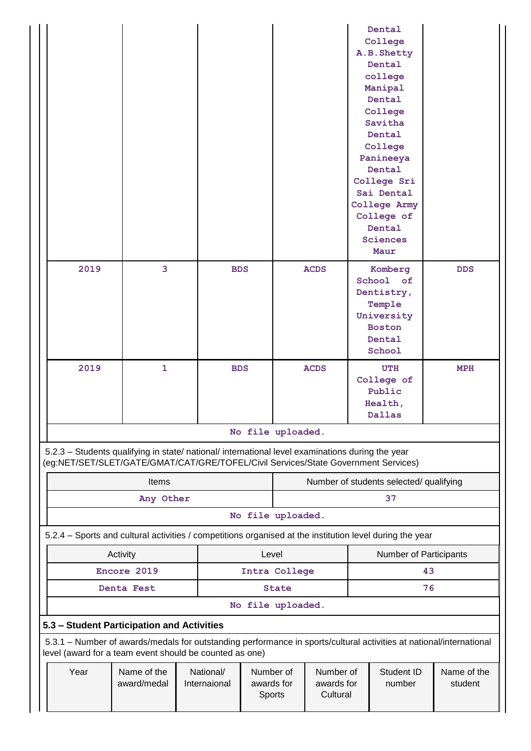|                                                                                                                                                                                        |                            |                           |                                   |                                                             |             |  | Dental<br>College<br>A.B. Shetty<br>Dental<br>college<br>Manipal<br>Dental<br>College<br>Savitha<br>Dental<br>College<br>Panineeya<br>Dental<br>College Sri<br>Sai Dental<br>College Army<br>College of<br>Dental<br><b>Sciences</b><br>Maur |            |
|----------------------------------------------------------------------------------------------------------------------------------------------------------------------------------------|----------------------------|---------------------------|-----------------------------------|-------------------------------------------------------------|-------------|--|----------------------------------------------------------------------------------------------------------------------------------------------------------------------------------------------------------------------------------------------|------------|
| 2019                                                                                                                                                                                   | 3                          | <b>BDS</b>                |                                   |                                                             | <b>ACDS</b> |  | Komberg<br>School of<br>Dentistry,<br>Temple<br>University<br><b>Boston</b><br>Dental<br>School                                                                                                                                              | <b>DDS</b> |
| 2019                                                                                                                                                                                   | $\mathbf{1}$               | <b>BDS</b>                |                                   |                                                             | <b>ACDS</b> |  | <b>UTH</b><br>College of<br>Public<br>Health,<br>Dallas                                                                                                                                                                                      | MPH        |
|                                                                                                                                                                                        |                            |                           | No file uploaded.                 |                                                             |             |  |                                                                                                                                                                                                                                              |            |
| 5.2.3 - Students qualifying in state/ national/ international level examinations during the year<br>(eg:NET/SET/SLET/GATE/GMAT/CAT/GRE/TOFEL/Civil Services/State Government Services) |                            |                           |                                   |                                                             |             |  |                                                                                                                                                                                                                                              |            |
|                                                                                                                                                                                        | <b>Items</b>               |                           |                                   |                                                             |             |  | Number of students selected/ qualifying                                                                                                                                                                                                      |            |
|                                                                                                                                                                                        | Any Other                  |                           |                                   |                                                             |             |  | 37                                                                                                                                                                                                                                           |            |
|                                                                                                                                                                                        |                            |                           | No file uploaded.                 |                                                             |             |  |                                                                                                                                                                                                                                              |            |
| 5.2.4 - Sports and cultural activities / competitions organised at the institution level during the year                                                                               |                            |                           |                                   |                                                             |             |  |                                                                                                                                                                                                                                              |            |
|                                                                                                                                                                                        | Activity                   |                           | Level                             |                                                             |             |  | Number of Participants                                                                                                                                                                                                                       |            |
|                                                                                                                                                                                        | Encore 2019                |                           | Intra College                     |                                                             |             |  |                                                                                                                                                                                                                                              | 43         |
|                                                                                                                                                                                        | Denta Fest                 |                           |                                   | <b>State</b>                                                |             |  |                                                                                                                                                                                                                                              | 76         |
|                                                                                                                                                                                        |                            |                           | No file uploaded.                 |                                                             |             |  |                                                                                                                                                                                                                                              |            |
| 5.3 - Student Participation and Activities                                                                                                                                             |                            |                           |                                   |                                                             |             |  |                                                                                                                                                                                                                                              |            |
| 5.3.1 - Number of awards/medals for outstanding performance in sports/cultural activities at national/international<br>level (award for a team event should be counted as one)         |                            |                           |                                   |                                                             |             |  |                                                                                                                                                                                                                                              |            |
| Year                                                                                                                                                                                   | Name of the<br>award/medal | National/<br>Internaional | Number of<br>awards for<br>Sports | Student ID<br>Number of<br>awards for<br>number<br>Cultural |             |  | Name of the<br>student                                                                                                                                                                                                                       |            |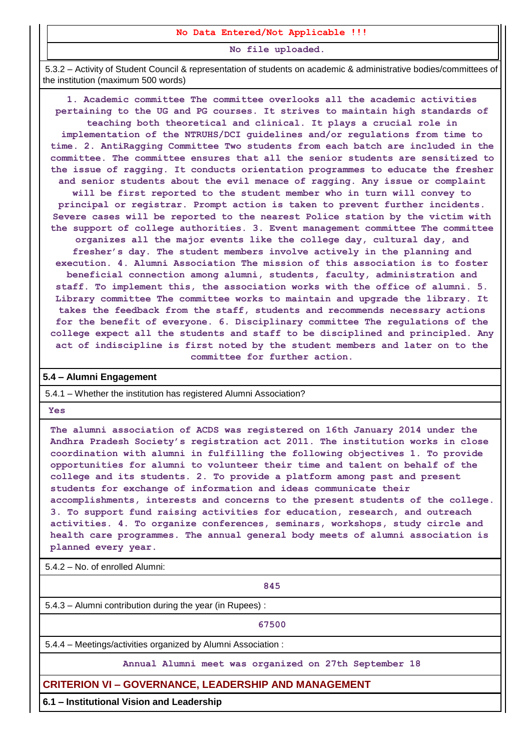#### **No Data Entered/Not Applicable !!!**

**No file uploaded.**

5.3.2 – Activity of Student Council & representation of students on academic & administrative bodies/committees of the institution (maximum 500 words)

**1. Academic committee The committee overlooks all the academic activities pertaining to the UG and PG courses. It strives to maintain high standards of teaching both theoretical and clinical. It plays a crucial role in implementation of the NTRUHS/DCI guidelines and/or regulations from time to time. 2. AntiRagging Committee Two students from each batch are included in the committee. The committee ensures that all the senior students are sensitized to the issue of ragging. It conducts orientation programmes to educate the fresher and senior students about the evil menace of ragging. Any issue or complaint will be first reported to the student member who in turn will convey to principal or registrar. Prompt action is taken to prevent further incidents. Severe cases will be reported to the nearest Police station by the victim with the support of college authorities. 3. Event management committee The committee organizes all the major events like the college day, cultural day, and fresher's day. The student members involve actively in the planning and execution. 4. Alumni Association The mission of this association is to foster beneficial connection among alumni, students, faculty, administration and staff. To implement this, the association works with the office of alumni. 5. Library committee The committee works to maintain and upgrade the library. It takes the feedback from the staff, students and recommends necessary actions for the benefit of everyone. 6. Disciplinary committee The regulations of the college expect all the students and staff to be disciplined and principled. Any act of indiscipline is first noted by the student members and later on to the committee for further action.**

#### **5.4 – Alumni Engagement**

5.4.1 – Whether the institution has registered Alumni Association?

**Yes**

**The alumni association of ACDS was registered on 16th January 2014 under the Andhra Pradesh Society's registration act 2011. The institution works in close coordination with alumni in fulfilling the following objectives 1. To provide opportunities for alumni to volunteer their time and talent on behalf of the college and its students. 2. To provide a platform among past and present students for exchange of information and ideas communicate their accomplishments, interests and concerns to the present students of the college. 3. To support fund raising activities for education, research, and outreach activities. 4. To organize conferences, seminars, workshops, study circle and health care programmes. The annual general body meets of alumni association is planned every year.**

5.4.2 – No. of enrolled Alumni:

**845**

5.4.3 – Alumni contribution during the year (in Rupees) :

**67500**

5.4.4 – Meetings/activities organized by Alumni Association :

**Annual Alumni meet was organized on 27th September 18**

#### **CRITERION VI – GOVERNANCE, LEADERSHIP AND MANAGEMENT**

**6.1 – Institutional Vision and Leadership**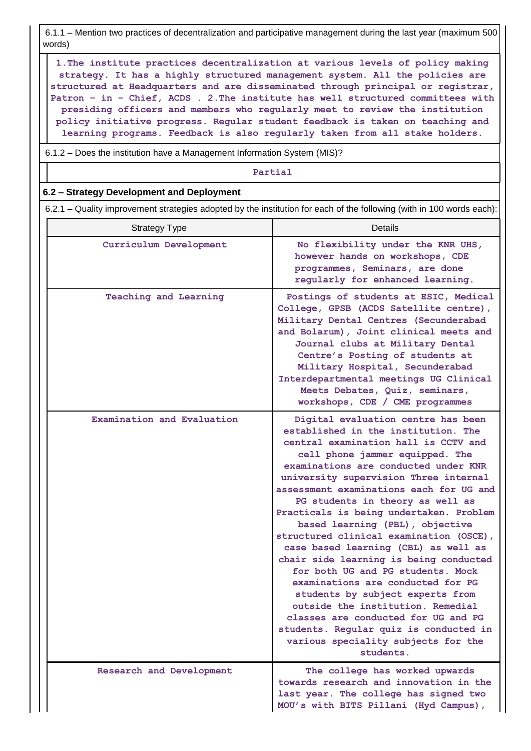6.1.1 – Mention two practices of decentralization and participative management during the last year (maximum 500 words)

**1.The institute practices decentralization at various levels of policy making strategy. It has a highly structured management system. All the policies are structured at Headquarters and are disseminated through principal or registrar, Patron – in – Chief, ACDS . 2.The institute has well structured committees with presiding officers and members who regularly meet to review the institution policy initiative progress. Regular student feedback is taken on teaching and learning programs. Feedback is also regularly taken from all stake holders.**

6.1.2 – Does the institution have a Management Information System (MIS)?

**Partial**

#### **6.2 – Strategy Development and Deployment**

6.2.1 – Quality improvement strategies adopted by the institution for each of the following (with in 100 words each):

| <b>Strategy Type</b>       | <b>Details</b>                                                                                                                                                                                                                                                                                                                                                                                                                                                                                                                                                                                                                                                                                                                                                                                                          |
|----------------------------|-------------------------------------------------------------------------------------------------------------------------------------------------------------------------------------------------------------------------------------------------------------------------------------------------------------------------------------------------------------------------------------------------------------------------------------------------------------------------------------------------------------------------------------------------------------------------------------------------------------------------------------------------------------------------------------------------------------------------------------------------------------------------------------------------------------------------|
| Curriculum Development     | No flexibility under the KNR UHS,<br>however hands on workshops, CDE<br>programmes, Seminars, are done<br>regularly for enhanced learning.                                                                                                                                                                                                                                                                                                                                                                                                                                                                                                                                                                                                                                                                              |
| Teaching and Learning      | Postings of students at ESIC, Medical<br>College, GPSB (ACDS Satellite centre),<br>Military Dental Centres (Secunderabad<br>and Bolarum), Joint clinical meets and<br>Journal clubs at Military Dental<br>Centre's Posting of students at<br>Military Hospital, Secunderabad<br>Interdepartmental meetings UG Clinical<br>Meets Debates, Quiz, seminars,<br>workshops, CDE / CME programmes                                                                                                                                                                                                                                                                                                                                                                                                                             |
| Examination and Evaluation | Digital evaluation centre has been<br>established in the institution. The<br>central examination hall is CCTV and<br>cell phone jammer equipped. The<br>examinations are conducted under KNR<br>university supervision Three internal<br>assessment examinations each for UG and<br>PG students in theory as well as<br>Practicals is being undertaken. Problem<br>based learning (PBL), objective<br>structured clinical examination (OSCE),<br>case based learning (CBL) as well as<br>chair side learning is being conducted<br>for both UG and PG students. Mock<br>examinations are conducted for PG<br>students by subject experts from<br>outside the institution. Remedial<br>classes are conducted for UG and PG<br>students. Regular quiz is conducted in<br>various speciality subjects for the<br>students. |
| Research and Development   | The college has worked upwards<br>towards research and innovation in the<br>last year. The college has signed two<br>MOU's with BITS Pillani (Hyd Campus),                                                                                                                                                                                                                                                                                                                                                                                                                                                                                                                                                                                                                                                              |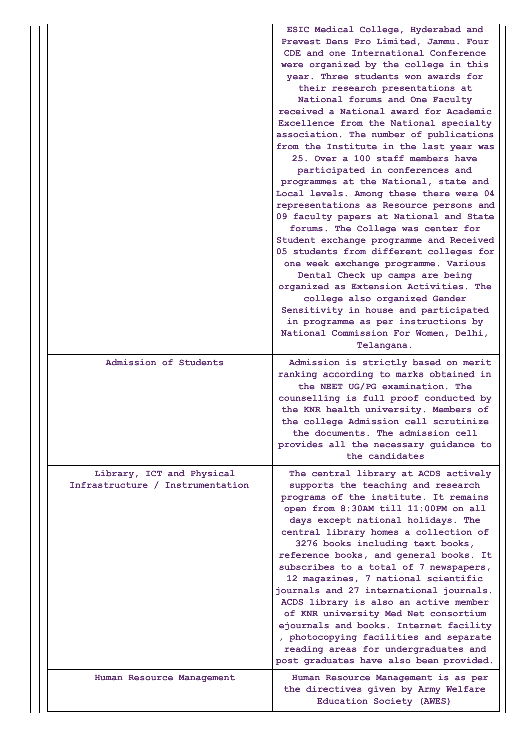|                                                               | ESIC Medical College, Hyderabad and<br>Prevest Dens Pro Limited, Jammu. Four<br>CDE and one International Conference<br>were organized by the college in this<br>year. Three students won awards for<br>their research presentations at<br>National forums and One Faculty<br>received a National award for Academic<br>Excellence from the National specialty<br>association. The number of publications<br>from the Institute in the last year was<br>25. Over a 100 staff members have<br>participated in conferences and<br>programmes at the National, state and<br>Local levels. Among these there were 04<br>representations as Resource persons and<br>09 faculty papers at National and State<br>forums. The College was center for<br>Student exchange programme and Received<br>05 students from different colleges for<br>one week exchange programme. Various<br>Dental Check up camps are being<br>organized as Extension Activities. The<br>college also organized Gender<br>Sensitivity in house and participated<br>in programme as per instructions by<br>National Commission For Women, Delhi,<br>Telangana. |
|---------------------------------------------------------------|---------------------------------------------------------------------------------------------------------------------------------------------------------------------------------------------------------------------------------------------------------------------------------------------------------------------------------------------------------------------------------------------------------------------------------------------------------------------------------------------------------------------------------------------------------------------------------------------------------------------------------------------------------------------------------------------------------------------------------------------------------------------------------------------------------------------------------------------------------------------------------------------------------------------------------------------------------------------------------------------------------------------------------------------------------------------------------------------------------------------------------|
| Admission of Students                                         | Admission is strictly based on merit<br>ranking according to marks obtained in<br>the NEET UG/PG examination. The<br>counselling is full proof conducted by<br>the KNR health university. Members of<br>the college Admission cell scrutinize<br>the documents. The admission cell<br>provides all the necessary guidance to<br>the candidates                                                                                                                                                                                                                                                                                                                                                                                                                                                                                                                                                                                                                                                                                                                                                                                  |
| Library, ICT and Physical<br>Infrastructure / Instrumentation | The central library at ACDS actively<br>supports the teaching and research<br>programs of the institute. It remains<br>open from 8:30AM till 11:00PM on all<br>days except national holidays. The<br>central library homes a collection of<br>3276 books including text books,<br>reference books, and general books. It<br>subscribes to a total of 7 newspapers,<br>12 magazines, 7 national scientific<br>journals and 27 international journals.<br>ACDS library is also an active member<br>of KNR university Med Net consortium<br>ejournals and books. Internet facility<br>, photocopying facilities and separate<br>reading areas for undergraduates and<br>post graduates have also been provided.                                                                                                                                                                                                                                                                                                                                                                                                                    |
| Human Resource Management                                     | Human Resource Management is as per<br>the directives given by Army Welfare<br>Education Society (AWES)                                                                                                                                                                                                                                                                                                                                                                                                                                                                                                                                                                                                                                                                                                                                                                                                                                                                                                                                                                                                                         |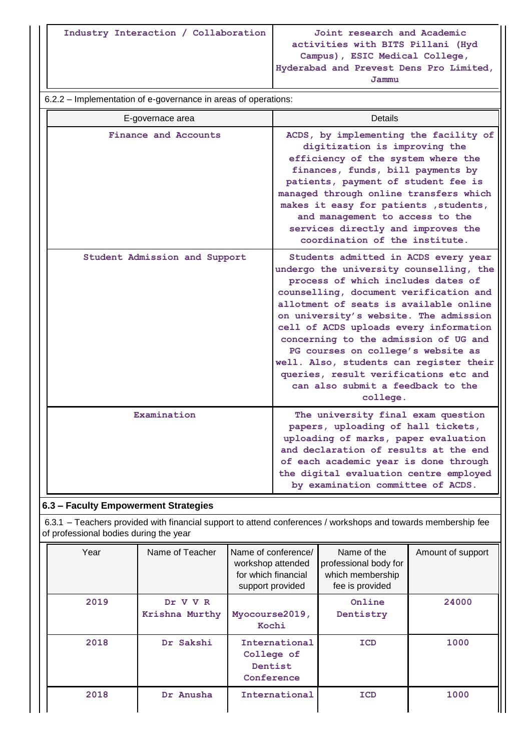**Industry Interaction / Collaboration Joint research and Academic** 

**activities with BITS Pillani (Hyd Campus), ESIC Medical College, Hyderabad and Prevest Dens Pro Limited,** 

**the digital evaluation centre employed by examination committee of ACDS.**

|                                                                | Jammu                                                                                                                                                                                                                                                                                                                                                                                                                                                                                                             |
|----------------------------------------------------------------|-------------------------------------------------------------------------------------------------------------------------------------------------------------------------------------------------------------------------------------------------------------------------------------------------------------------------------------------------------------------------------------------------------------------------------------------------------------------------------------------------------------------|
| 6.2.2 - Implementation of e-governance in areas of operations: |                                                                                                                                                                                                                                                                                                                                                                                                                                                                                                                   |
| E-governace area                                               | <b>Details</b>                                                                                                                                                                                                                                                                                                                                                                                                                                                                                                    |
| Finance and Accounts                                           | ACDS, by implementing the facility of<br>digitization is improving the<br>efficiency of the system where the<br>finances, funds, bill payments by<br>patients, payment of student fee is<br>managed through online transfers which<br>makes it easy for patients, students,<br>and management to access to the<br>services directly and improves the<br>coordination of the institute.                                                                                                                            |
| Student Admission and Support                                  | Students admitted in ACDS every year<br>undergo the university counselling, the<br>process of which includes dates of<br>counselling, document verification and<br>allotment of seats is available online<br>on university's website. The admission<br>cell of ACDS uploads every information<br>concerning to the admission of UG and<br>PG courses on college's website as<br>well. Also, students can register their<br>queries, result verifications etc and<br>can also submit a feedback to the<br>college. |
| Examination                                                    | The university final exam question<br>papers, uploading of hall tickets,<br>uploading of marks, paper evaluation<br>and declaration of results at the end<br>of each academic year is done through                                                                                                                                                                                                                                                                                                                |

# **6.3 – Faculty Empowerment Strategies**

6.3.1 – Teachers provided with financial support to attend conferences / workshops and towards membership fee of professional bodies during the year

| Year | Name of Teacher            | Name of conference/<br>Name of the<br>professional body for<br>workshop attended<br>for which financial<br>which membership<br>fee is provided<br>support provided |            | Amount of support |  |
|------|----------------------------|--------------------------------------------------------------------------------------------------------------------------------------------------------------------|------------|-------------------|--|
| 2019 | Dr V V R<br>Krishna Murthy | Myocourse2019,<br>Kochi                                                                                                                                            |            | 24000             |  |
| 2018 | Dr Sakshi                  | International<br>College of<br>Dentist<br>Conference                                                                                                               | <b>ICD</b> | 1000              |  |
| 2018 | Dr Anusha                  | International                                                                                                                                                      | ICD        | 1000              |  |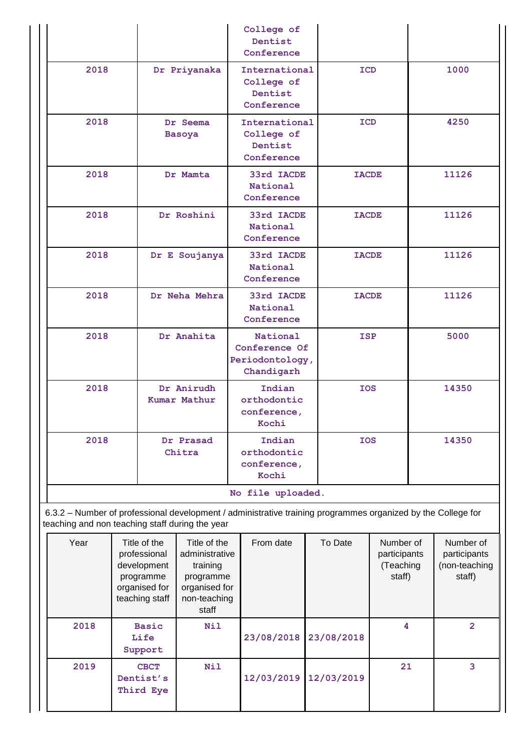|                                                                                                     |  |                                                                                                   |               | College of<br>Dentist<br>Conference                                                                          |                                           |                                                  |    |                                                      |       |
|-----------------------------------------------------------------------------------------------------|--|---------------------------------------------------------------------------------------------------|---------------|--------------------------------------------------------------------------------------------------------------|-------------------------------------------|--------------------------------------------------|----|------------------------------------------------------|-------|
| 2018                                                                                                |  |                                                                                                   | Dr Priyanaka  | International<br>College of<br>Dentist<br>Conference                                                         |                                           | <b>ICD</b>                                       |    | 1000                                                 |       |
| 2018                                                                                                |  | Dr Seema<br><b>Basoya</b>                                                                         |               | College of<br>Dentist                                                                                        | <b>ICD</b><br>International<br>Conference |                                                  |    |                                                      | 4250  |
| 2018                                                                                                |  |                                                                                                   | Dr Mamta      | 33rd IACDE<br>National<br>Conference                                                                         |                                           | <b>IACDE</b>                                     |    |                                                      | 11126 |
| 2018                                                                                                |  |                                                                                                   | Dr Roshini    | 33rd IACDE<br>National<br>Conference                                                                         |                                           | <b>IACDE</b>                                     |    |                                                      | 11126 |
| 2018                                                                                                |  |                                                                                                   | Dr E Soujanya | 33rd IACDE<br>National<br>Conference                                                                         |                                           | <b>IACDE</b>                                     |    |                                                      | 11126 |
| 2018                                                                                                |  | Dr Neha Mehra                                                                                     |               | 33rd IACDE<br>National<br>Conference                                                                         |                                           | <b>IACDE</b>                                     |    |                                                      | 11126 |
| 2018                                                                                                |  |                                                                                                   | Dr Anahita    | National<br>Conference Of<br>Periodontology,<br>Chandigarh                                                   | <b>ISP</b>                                |                                                  |    |                                                      | 5000  |
| 2018                                                                                                |  | Dr Anirudh<br>Kumar Mathur                                                                        |               | Indian<br>orthodontic<br>conference,<br>Kochi                                                                |                                           | <b>IOS</b>                                       |    |                                                      | 14350 |
| 2018                                                                                                |  | Dr Prasad<br>Chitra                                                                               |               | Indian<br>orthodontic<br>conference,<br>Kochi                                                                |                                           | <b>IOS</b>                                       |    |                                                      | 14350 |
|                                                                                                     |  |                                                                                                   |               | No file uploaded.                                                                                            |                                           |                                                  |    |                                                      |       |
| teaching and non teaching staff during the year                                                     |  |                                                                                                   |               | 6.3.2 - Number of professional development / administrative training programmes organized by the College for |                                           |                                                  |    |                                                      |       |
| Year<br>Title of the<br>professional<br>development<br>programme<br>organised for<br>teaching staff |  | Title of the<br>administrative<br>training<br>programme<br>organised for<br>non-teaching<br>staff | From date     |                                                                                                              | To Date                                   | Number of<br>participants<br>(Teaching<br>staff) |    | Number of<br>participants<br>(non-teaching<br>staff) |       |
| 2018<br><b>Basic</b><br>Life<br>Support                                                             |  | <b>Nil</b>                                                                                        | 23/08/2018    |                                                                                                              | 4<br>23/08/2018                           |                                                  |    | $\overline{2}$                                       |       |
| 2019                                                                                                |  | <b>CBCT</b><br>Dentist's<br>Third Eye                                                             | <b>Nil</b>    | 12/03/2019                                                                                                   |                                           | 12/03/2019                                       | 21 |                                                      | 3     |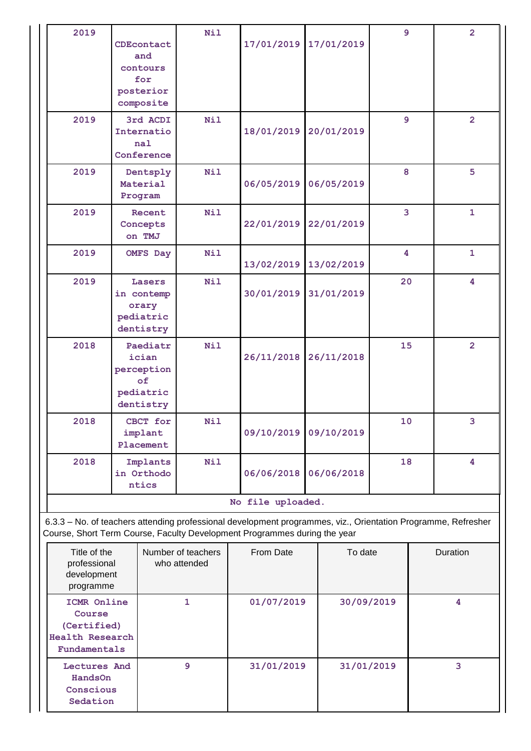| 2019 | CDEcontact<br>and<br>contours<br>for<br>posterior<br>composite  | Nil        | 17/01/2019 | 17/01/2019 | 9  | $\overline{2}$          |  |  |  |  |
|------|-----------------------------------------------------------------|------------|------------|------------|----|-------------------------|--|--|--|--|
| 2019 | 3rd ACDI<br>Internatio<br>nal<br>Conference                     | <b>Nil</b> | 18/01/2019 | 20/01/2019 | 9  | $\overline{2}$          |  |  |  |  |
| 2019 | Dentsply<br>Material<br>Program                                 | <b>Nil</b> | 06/05/2019 | 06/05/2019 | 8  | 5                       |  |  |  |  |
| 2019 | Recent<br>Concepts<br>on TMJ                                    | Nil        | 22/01/2019 | 22/01/2019 | 3  | $\mathbf{1}$            |  |  |  |  |
| 2019 | <b>OMFS Day</b>                                                 | Nil        | 13/02/2019 | 13/02/2019 | 4  | 1                       |  |  |  |  |
| 2019 | Lasers<br>in contemp<br>orary<br>pediatric<br>dentistry         | <b>Nil</b> | 30/01/2019 | 31/01/2019 | 20 | 4                       |  |  |  |  |
| 2018 | Paediatr<br>ician<br>perception<br>of<br>pediatric<br>dentistry | <b>Nil</b> | 26/11/2018 | 26/11/2018 | 15 | $\overline{2}$          |  |  |  |  |
| 2018 | CBCT for<br>implant<br>Placement                                | Nil        | 09/10/2019 | 09/10/2019 | 10 | 3.                      |  |  |  |  |
| 2018 | Implants<br>in Orthodo<br>ntics                                 | <b>Nil</b> | 06/06/2018 | 06/06/2018 | 18 | $\overline{\mathbf{4}}$ |  |  |  |  |
|      | No file uploaded.                                               |            |            |            |    |                         |  |  |  |  |

6.3.3 – No. of teachers attending professional development programmes, viz., Orientation Programme, Refresher Course, Short Term Course, Faculty Development Programmes during the year

| Title of the<br>professional<br>development<br>programme                | Number of teachers<br>who attended | From Date  | To date    | Duration |
|-------------------------------------------------------------------------|------------------------------------|------------|------------|----------|
| ICMR Online<br>Course<br>(Certified)<br>Health Research<br>Fundamentals |                                    | 01/07/2019 | 30/09/2019 | 4        |
| Lectures And<br><b>HandsOn</b><br>Conscious<br>Sedation                 | 9                                  | 31/01/2019 | 31/01/2019 | 3        |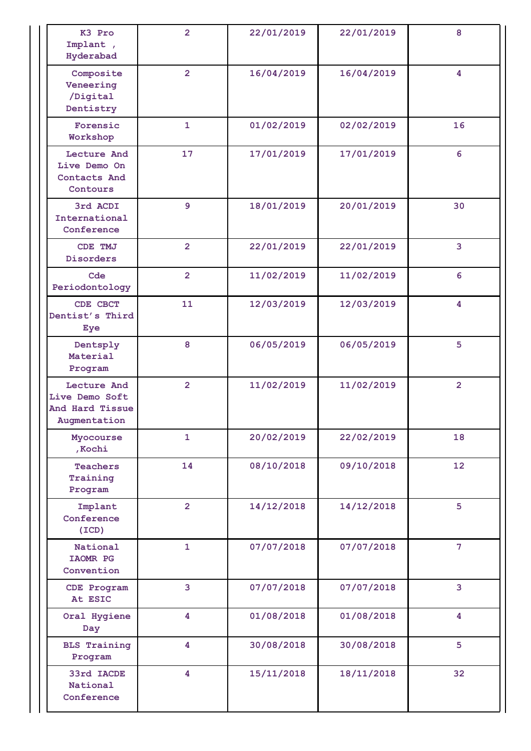| K3 Pro<br>Implant,<br>Hyderabad                                  | $\overline{2}$ | 22/01/2019 | 22/01/2019 | 8                       |
|------------------------------------------------------------------|----------------|------------|------------|-------------------------|
| Composite<br>Veneering<br>/Digital<br>Dentistry                  | $\overline{2}$ | 16/04/2019 | 16/04/2019 | 4                       |
| Forensic<br>Workshop                                             | $\mathbf{1}$   | 01/02/2019 | 02/02/2019 | 16                      |
| Lecture And<br>Live Demo On<br>Contacts And<br>Contours          | 17             | 17/01/2019 | 17/01/2019 | 6                       |
| 3rd ACDI<br>International<br>Conference                          | 9              | 18/01/2019 | 20/01/2019 | 30                      |
| CDE TMJ<br>Disorders                                             | $\overline{2}$ | 22/01/2019 | 22/01/2019 | $\overline{\mathbf{3}}$ |
| Cde<br>Periodontology                                            | $\overline{2}$ | 11/02/2019 | 11/02/2019 | 6                       |
| CDE CBCT<br>Dentist's Third<br>Eye                               | 11             | 12/03/2019 | 12/03/2019 | 4                       |
| Dentsply<br>Material<br>Program                                  | 8              | 06/05/2019 | 06/05/2019 | 5                       |
| Lecture And<br>Live Demo Soft<br>And Hard Tissue<br>Augmentation | $\overline{2}$ | 11/02/2019 | 11/02/2019 | $\overline{2}$          |
| Myocourse<br>, Kochi                                             | $\mathbf{1}$   | 20/02/2019 | 22/02/2019 | 18                      |
| <b>Teachers</b><br>Training<br>Program                           | 14             | 08/10/2018 | 09/10/2018 | 12                      |
| Implant<br>Conference<br>(TCD)                                   | $\overline{2}$ | 14/12/2018 | 14/12/2018 | 5                       |
| National<br>IAOMR PG<br>Convention                               | $\mathbf{1}$   | 07/07/2018 | 07/07/2018 | $\overline{7}$          |
| CDE Program<br>At ESIC                                           | 3              | 07/07/2018 | 07/07/2018 | 3                       |
| Oral Hygiene<br>Day                                              | 4              | 01/08/2018 | 01/08/2018 | 4                       |
| <b>BLS Training</b><br>Program                                   | 4              | 30/08/2018 | 30/08/2018 | 5                       |
| 33rd IACDE<br>National<br>Conference                             | 4              | 15/11/2018 | 18/11/2018 | 32                      |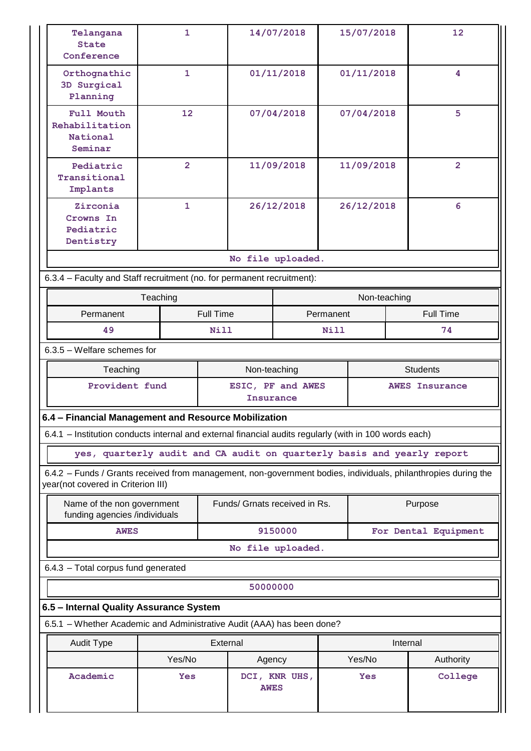| Telangana<br><b>State</b><br>Conference                                                                                                              | 1                 |                  | 14/07/2018                     |               | 15/07/2018      |              | 12                    |  |
|------------------------------------------------------------------------------------------------------------------------------------------------------|-------------------|------------------|--------------------------------|---------------|-----------------|--------------|-----------------------|--|
| Orthognathic<br>3D Surgical<br>Planning                                                                                                              | $\mathbf{1}$      |                  | 01/11/2018                     |               | 01/11/2018      |              | 4                     |  |
| Full Mouth<br>Rehabilitation<br>National<br>Seminar                                                                                                  | $12 \overline{ }$ |                  |                                | 07/04/2018    | 07/04/2018      |              | 5                     |  |
| Pediatric<br>Transitional<br>Implants                                                                                                                | $\overline{2}$    |                  |                                | 11/09/2018    |                 | 11/09/2018   | $\overline{2}$        |  |
| Zirconia<br>Crowns In<br>Pediatric<br>Dentistry                                                                                                      | $\mathbf{1}$      |                  |                                | 26/12/2018    |                 | 26/12/2018   | 6                     |  |
|                                                                                                                                                      |                   |                  | No file uploaded.              |               |                 |              |                       |  |
| 6.3.4 - Faculty and Staff recruitment (no. for permanent recruitment):                                                                               |                   |                  |                                |               |                 |              |                       |  |
|                                                                                                                                                      | Teaching          |                  |                                |               |                 | Non-teaching |                       |  |
| Permanent                                                                                                                                            |                   | <b>Full Time</b> |                                |               | Permanent       |              | <b>Full Time</b>      |  |
| 49                                                                                                                                                   |                   | Nill             |                                |               | Nill            |              | 74                    |  |
| 6.3.5 - Welfare schemes for                                                                                                                          |                   |                  |                                |               |                 |              |                       |  |
| Teaching                                                                                                                                             |                   |                  | Non-teaching                   |               | <b>Students</b> |              |                       |  |
| Provident fund                                                                                                                                       |                   |                  | ESIC, PF and AWES<br>Insurance |               |                 |              | <b>AWES Insurance</b> |  |
| 6.4 - Financial Management and Resource Mobilization                                                                                                 |                   |                  |                                |               |                 |              |                       |  |
| 6.4.1 - Institution conducts internal and external financial audits regularly (with in 100 words each)                                               |                   |                  |                                |               |                 |              |                       |  |
| yes, quarterly audit and CA audit on quarterly basis and yearly report                                                                               |                   |                  |                                |               |                 |              |                       |  |
| 6.4.2 - Funds / Grants received from management, non-government bodies, individuals, philanthropies during the<br>year(not covered in Criterion III) |                   |                  |                                |               |                 |              |                       |  |
| Name of the non government<br>funding agencies /individuals                                                                                          |                   |                  | Funds/ Grnats received in Rs.  |               |                 |              | Purpose               |  |
| <b>AWES</b>                                                                                                                                          |                   |                  |                                | 9150000       |                 |              | For Dental Equipment  |  |
|                                                                                                                                                      |                   |                  | No file uploaded.              |               |                 |              |                       |  |
| 6.4.3 - Total corpus fund generated                                                                                                                  |                   |                  |                                |               |                 |              |                       |  |
| 50000000                                                                                                                                             |                   |                  |                                |               |                 |              |                       |  |
| 6.5 - Internal Quality Assurance System                                                                                                              |                   |                  |                                |               |                 |              |                       |  |
| 6.5.1 - Whether Academic and Administrative Audit (AAA) has been done?                                                                               |                   |                  |                                |               |                 |              |                       |  |
| Audit Type                                                                                                                                           |                   | External         |                                |               |                 | Internal     |                       |  |
|                                                                                                                                                      | Yes/No            |                  | Agency                         |               |                 | Yes/No       | Authority             |  |
| Academic                                                                                                                                             | Yes               |                  | <b>AWES</b>                    | DCI, KNR UHS, |                 | Yes          | College               |  |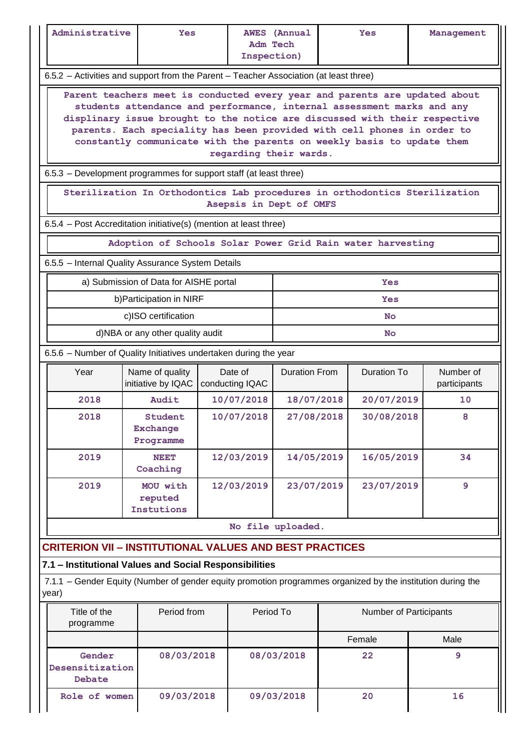| Administrative                                                                                                                                                                                                                                                                                                                                                                                                    | <b>Yes</b>                                                                            |  | <b>Adm Tech</b><br>Inspection) | <b>AWES</b> (Annual  |                          | <b>Yes</b>             |  | Management   |  |  |
|-------------------------------------------------------------------------------------------------------------------------------------------------------------------------------------------------------------------------------------------------------------------------------------------------------------------------------------------------------------------------------------------------------------------|---------------------------------------------------------------------------------------|--|--------------------------------|----------------------|--------------------------|------------------------|--|--------------|--|--|
|                                                                                                                                                                                                                                                                                                                                                                                                                   | 6.5.2 - Activities and support from the Parent - Teacher Association (at least three) |  |                                |                      |                          |                        |  |              |  |  |
| Parent teachers meet is conducted every year and parents are updated about<br>students attendance and performance, internal assessment marks and any<br>displinary issue brought to the notice are discussed with their respective<br>parents. Each speciality has been provided with cell phones in order to<br>constantly communicate with the parents on weekly basis to update them<br>regarding their wards. |                                                                                       |  |                                |                      |                          |                        |  |              |  |  |
|                                                                                                                                                                                                                                                                                                                                                                                                                   | 6.5.3 - Development programmes for support staff (at least three)                     |  |                                |                      |                          |                        |  |              |  |  |
|                                                                                                                                                                                                                                                                                                                                                                                                                   | Sterilization In Orthodontics Lab procedures in orthodontics Sterilization            |  | Asepsis in Dept of OMFS        |                      |                          |                        |  |              |  |  |
| 6.5.4 - Post Accreditation initiative(s) (mention at least three)                                                                                                                                                                                                                                                                                                                                                 |                                                                                       |  |                                |                      |                          |                        |  |              |  |  |
|                                                                                                                                                                                                                                                                                                                                                                                                                   | Adoption of Schools Solar Power Grid Rain water harvesting                            |  |                                |                      |                          |                        |  |              |  |  |
| 6.5.5 - Internal Quality Assurance System Details                                                                                                                                                                                                                                                                                                                                                                 |                                                                                       |  |                                |                      |                          |                        |  |              |  |  |
|                                                                                                                                                                                                                                                                                                                                                                                                                   | a) Submission of Data for AISHE portal                                                |  |                                |                      |                          | Yes                    |  |              |  |  |
|                                                                                                                                                                                                                                                                                                                                                                                                                   | b) Participation in NIRF<br>c)ISO certification                                       |  |                                |                      |                          | Yes<br><b>No</b>       |  |              |  |  |
|                                                                                                                                                                                                                                                                                                                                                                                                                   | d)NBA or any other quality audit                                                      |  |                                |                      |                          | <b>No</b>              |  |              |  |  |
| 6.5.6 - Number of Quality Initiatives undertaken during the year                                                                                                                                                                                                                                                                                                                                                  |                                                                                       |  |                                |                      |                          |                        |  |              |  |  |
| Year                                                                                                                                                                                                                                                                                                                                                                                                              | Name of quality                                                                       |  | Date of                        | <b>Duration From</b> |                          | <b>Duration To</b>     |  | Number of    |  |  |
|                                                                                                                                                                                                                                                                                                                                                                                                                   | initiative by IQAC                                                                    |  | conducting IQAC                |                      |                          |                        |  | participants |  |  |
| 2018                                                                                                                                                                                                                                                                                                                                                                                                              | Audit                                                                                 |  | 10/07/2018                     |                      | 20/07/2019<br>18/07/2018 |                        |  | 10           |  |  |
| 2018                                                                                                                                                                                                                                                                                                                                                                                                              | Student<br><b>Exchange</b><br>Programme                                               |  | 10/07/2018                     | 27/08/2018           |                          | 30/08/2018             |  | 8            |  |  |
| 2019                                                                                                                                                                                                                                                                                                                                                                                                              | NEET<br>Coaching                                                                      |  | 12/03/2019                     | 14/05/2019           |                          | 16/05/2019             |  | 34           |  |  |
| 2019                                                                                                                                                                                                                                                                                                                                                                                                              | MOU with<br>reputed<br>Instutions                                                     |  | 12/03/2019                     | 23/07/2019           |                          | 23/07/2019             |  | 9            |  |  |
|                                                                                                                                                                                                                                                                                                                                                                                                                   |                                                                                       |  |                                | No file uploaded.    |                          |                        |  |              |  |  |
| <b>CRITERION VII - INSTITUTIONAL VALUES AND BEST PRACTICES</b>                                                                                                                                                                                                                                                                                                                                                    |                                                                                       |  |                                |                      |                          |                        |  |              |  |  |
| 7.1 - Institutional Values and Social Responsibilities                                                                                                                                                                                                                                                                                                                                                            |                                                                                       |  |                                |                      |                          |                        |  |              |  |  |
| 7.1.1 - Gender Equity (Number of gender equity promotion programmes organized by the institution during the<br>year)                                                                                                                                                                                                                                                                                              |                                                                                       |  |                                |                      |                          |                        |  |              |  |  |
| Title of the<br>programme                                                                                                                                                                                                                                                                                                                                                                                         | Period from                                                                           |  | Period To                      |                      |                          | Number of Participants |  |              |  |  |
|                                                                                                                                                                                                                                                                                                                                                                                                                   |                                                                                       |  |                                |                      |                          | Female                 |  | Male         |  |  |
| Gender<br>Desensitization<br>Debate                                                                                                                                                                                                                                                                                                                                                                               | 08/03/2018                                                                            |  |                                | 08/03/2018           | 22                       |                        |  | 9            |  |  |
| Role of women                                                                                                                                                                                                                                                                                                                                                                                                     | 09/03/2018                                                                            |  |                                | 09/03/2018           |                          | 20                     |  | 16           |  |  |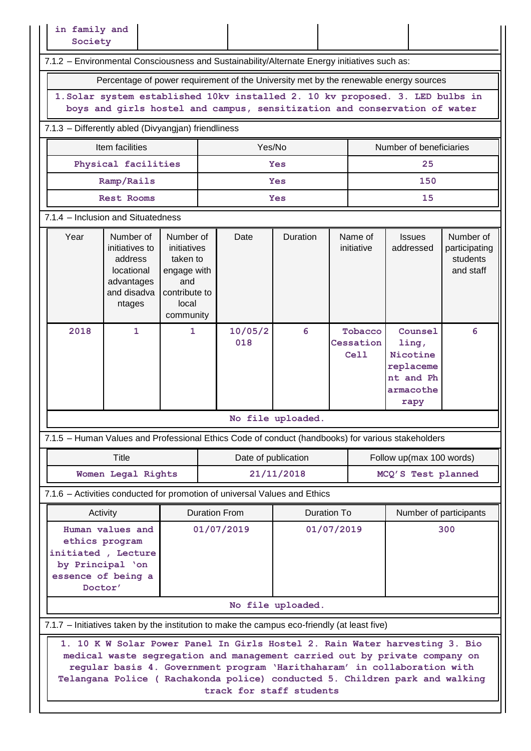| in family and<br>Society                                                                                                                                   |                                                                                             |                                                                                                   |                          |                          |                   |                    |                              |                                                                                                                                                                                                                                                                                                                       |                                                     |  |  |
|------------------------------------------------------------------------------------------------------------------------------------------------------------|---------------------------------------------------------------------------------------------|---------------------------------------------------------------------------------------------------|--------------------------|--------------------------|-------------------|--------------------|------------------------------|-----------------------------------------------------------------------------------------------------------------------------------------------------------------------------------------------------------------------------------------------------------------------------------------------------------------------|-----------------------------------------------------|--|--|
| 7.1.2 - Environmental Consciousness and Sustainability/Alternate Energy initiatives such as:                                                               |                                                                                             |                                                                                                   |                          |                          |                   |                    |                              |                                                                                                                                                                                                                                                                                                                       |                                                     |  |  |
| Percentage of power requirement of the University met by the renewable energy sources                                                                      |                                                                                             |                                                                                                   |                          |                          |                   |                    |                              |                                                                                                                                                                                                                                                                                                                       |                                                     |  |  |
| 1. Solar system established 10kv installed 2. 10 kv proposed. 3. LED bulbs in<br>boys and girls hostel and campus, sensitization and conservation of water |                                                                                             |                                                                                                   |                          |                          |                   |                    |                              |                                                                                                                                                                                                                                                                                                                       |                                                     |  |  |
| 7.1.3 - Differently abled (Divyangjan) friendliness                                                                                                        |                                                                                             |                                                                                                   |                          |                          |                   |                    |                              |                                                                                                                                                                                                                                                                                                                       |                                                     |  |  |
| Item facilities<br>Yes/No<br>Number of beneficiaries                                                                                                       |                                                                                             |                                                                                                   |                          |                          |                   |                    |                              |                                                                                                                                                                                                                                                                                                                       |                                                     |  |  |
|                                                                                                                                                            | Physical facilities                                                                         |                                                                                                   |                          |                          | <b>Yes</b>        |                    |                              | 25                                                                                                                                                                                                                                                                                                                    |                                                     |  |  |
|                                                                                                                                                            | Ramp/Rails                                                                                  |                                                                                                   |                          |                          | <b>Yes</b>        |                    |                              | 150                                                                                                                                                                                                                                                                                                                   |                                                     |  |  |
|                                                                                                                                                            | <b>Rest Rooms</b>                                                                           |                                                                                                   |                          |                          | Yes               |                    |                              | 15                                                                                                                                                                                                                                                                                                                    |                                                     |  |  |
| 7.1.4 - Inclusion and Situatedness                                                                                                                         |                                                                                             |                                                                                                   |                          |                          |                   |                    |                              |                                                                                                                                                                                                                                                                                                                       |                                                     |  |  |
| Year                                                                                                                                                       | Number of<br>initiatives to<br>address<br>locational<br>advantages<br>and disadva<br>ntages | Number of<br>initiatives<br>taken to<br>engage with<br>and<br>contribute to<br>local<br>community |                          | Date                     | Duration          |                    | Name of<br>initiative        | <b>Issues</b><br>addressed                                                                                                                                                                                                                                                                                            | Number of<br>participating<br>students<br>and staff |  |  |
| 2018                                                                                                                                                       | $\mathbf{1}$                                                                                | 1                                                                                                 |                          | 10/05/2<br>018           | 6                 |                    | Tobacco<br>Cessation<br>Cell | Counsel<br>ling,<br>Nicotine<br>replaceme<br>nt and Ph<br>armacothe<br>rapy                                                                                                                                                                                                                                           | 6                                                   |  |  |
|                                                                                                                                                            |                                                                                             |                                                                                                   |                          | No file uploaded         |                   |                    |                              |                                                                                                                                                                                                                                                                                                                       |                                                     |  |  |
| 7.1.5 - Human Values and Professional Ethics Code of conduct (handbooks) for various stakeholders                                                          |                                                                                             |                                                                                                   |                          |                          |                   |                    |                              |                                                                                                                                                                                                                                                                                                                       |                                                     |  |  |
|                                                                                                                                                            | Title                                                                                       |                                                                                                   |                          | Date of publication      |                   |                    |                              | Follow up(max 100 words)                                                                                                                                                                                                                                                                                              |                                                     |  |  |
|                                                                                                                                                            | Women Legal Rights                                                                          |                                                                                                   |                          | 21/11/2018               |                   |                    |                              | MCQ'S Test planned                                                                                                                                                                                                                                                                                                    |                                                     |  |  |
| 7.1.6 - Activities conducted for promotion of universal Values and Ethics                                                                                  |                                                                                             |                                                                                                   |                          |                          |                   |                    |                              |                                                                                                                                                                                                                                                                                                                       |                                                     |  |  |
| Activity                                                                                                                                                   |                                                                                             |                                                                                                   |                          | <b>Duration From</b>     |                   | <b>Duration To</b> |                              | Number of participants                                                                                                                                                                                                                                                                                                |                                                     |  |  |
| Human values and<br>ethics program<br>initiated, Lecture<br>by Principal 'on<br>essence of being a<br>Doctor'                                              |                                                                                             |                                                                                                   | 01/07/2019<br>01/07/2019 |                          |                   |                    |                              | 300                                                                                                                                                                                                                                                                                                                   |                                                     |  |  |
|                                                                                                                                                            |                                                                                             |                                                                                                   |                          |                          | No file uploaded. |                    |                              |                                                                                                                                                                                                                                                                                                                       |                                                     |  |  |
| 7.1.7 – Initiatives taken by the institution to make the campus eco-friendly (at least five)                                                               |                                                                                             |                                                                                                   |                          |                          |                   |                    |                              |                                                                                                                                                                                                                                                                                                                       |                                                     |  |  |
|                                                                                                                                                            |                                                                                             |                                                                                                   |                          | track for staff students |                   |                    |                              | 1. 10 K W Solar Power Panel In Girls Hostel 2. Rain Water harvesting 3. Bio<br>medical waste segregation and management carried out by private company on<br>regular basis 4. Government program 'Harithaharam' in collaboration with<br>Telangana Police ( Rachakonda police) conducted 5. Children park and walking |                                                     |  |  |